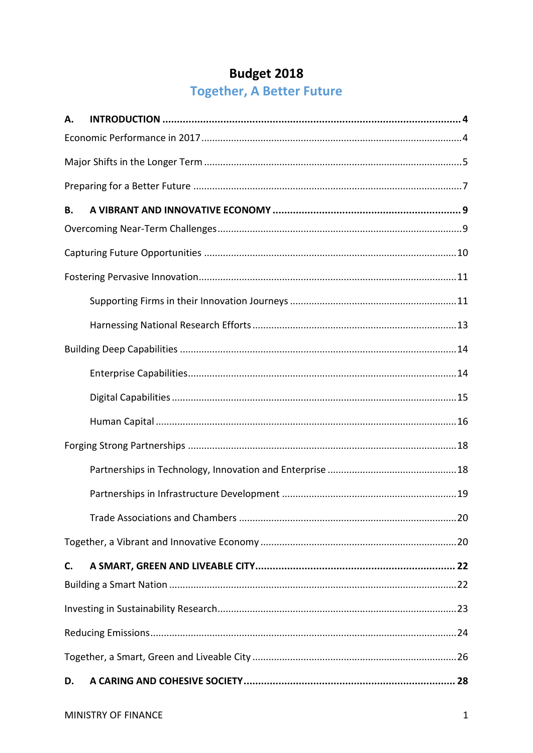# **Budget 2018**

# Together, A Better Future

| А. |  |  |  |
|----|--|--|--|
|    |  |  |  |
|    |  |  |  |
|    |  |  |  |
| В. |  |  |  |
|    |  |  |  |
|    |  |  |  |
|    |  |  |  |
|    |  |  |  |
|    |  |  |  |
|    |  |  |  |
|    |  |  |  |
|    |  |  |  |
|    |  |  |  |
|    |  |  |  |
|    |  |  |  |
|    |  |  |  |
|    |  |  |  |
|    |  |  |  |
| C. |  |  |  |
|    |  |  |  |
|    |  |  |  |
|    |  |  |  |
|    |  |  |  |
| D. |  |  |  |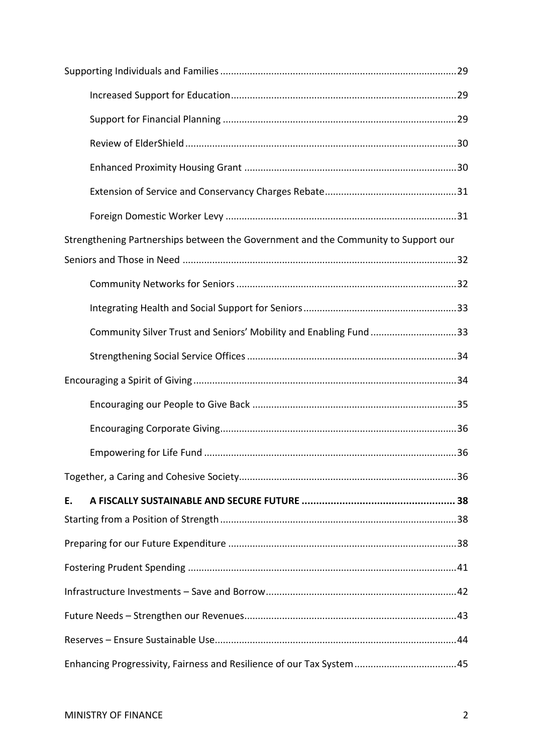| Strengthening Partnerships between the Government and the Community to Support our |  |  |  |  |
|------------------------------------------------------------------------------------|--|--|--|--|
|                                                                                    |  |  |  |  |
|                                                                                    |  |  |  |  |
|                                                                                    |  |  |  |  |
| Community Silver Trust and Seniors' Mobility and Enabling Fund33                   |  |  |  |  |
|                                                                                    |  |  |  |  |
|                                                                                    |  |  |  |  |
|                                                                                    |  |  |  |  |
|                                                                                    |  |  |  |  |
|                                                                                    |  |  |  |  |
|                                                                                    |  |  |  |  |
| Ε.                                                                                 |  |  |  |  |
|                                                                                    |  |  |  |  |
|                                                                                    |  |  |  |  |
|                                                                                    |  |  |  |  |
|                                                                                    |  |  |  |  |
|                                                                                    |  |  |  |  |
|                                                                                    |  |  |  |  |
| Enhancing Progressivity, Fairness and Resilience of our Tax System45               |  |  |  |  |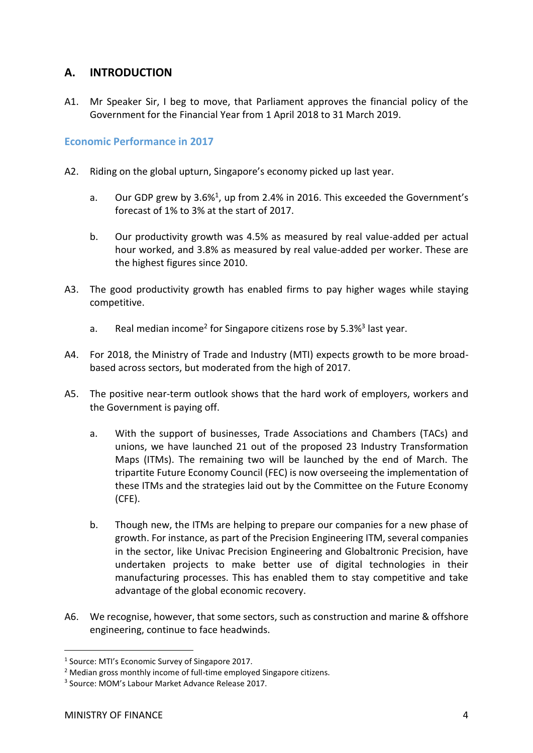# <span id="page-3-0"></span>**A. INTRODUCTION**

A1. Mr Speaker Sir, I beg to move, that Parliament approves the financial policy of the Government for the Financial Year from 1 April 2018 to 31 March 2019.

<span id="page-3-1"></span>**Economic Performance in 2017**

- A2. Riding on the global upturn, Singapore's economy picked up last year.
	- a. Our GDP grew by 3.6%<sup>1</sup>, up from 2.4% in 2016. This exceeded the Government's forecast of 1% to 3% at the start of 2017.
	- b. Our productivity growth was 4.5% as measured by real value-added per actual hour worked, and 3.8% as measured by real value-added per worker. These are the highest figures since 2010.
- A3. The good productivity growth has enabled firms to pay higher wages while staying competitive.
	- a. Real median income<sup>2</sup> for Singapore citizens rose by 5.3%<sup>3</sup> last year.
- A4. For 2018, the Ministry of Trade and Industry (MTI) expects growth to be more broadbased across sectors, but moderated from the high of 2017.
- A5. The positive near-term outlook shows that the hard work of employers, workers and the Government is paying off.
	- a. With the support of businesses, Trade Associations and Chambers (TACs) and unions, we have launched 21 out of the proposed 23 Industry Transformation Maps (ITMs). The remaining two will be launched by the end of March. The tripartite Future Economy Council (FEC) is now overseeing the implementation of these ITMs and the strategies laid out by the Committee on the Future Economy (CFE).
	- b. Though new, the ITMs are helping to prepare our companies for a new phase of growth. For instance, as part of the Precision Engineering ITM, several companies in the sector, like Univac Precision Engineering and Globaltronic Precision, have undertaken projects to make better use of digital technologies in their manufacturing processes. This has enabled them to stay competitive and take advantage of the global economic recovery.
- A6. We recognise, however, that some sectors, such as construction and marine & offshore engineering, continue to face headwinds.

 $\overline{a}$ 

<sup>&</sup>lt;sup>1</sup> Source: MTI's Economic Survey of Singapore 2017.

<sup>&</sup>lt;sup>2</sup> Median gross monthly income of full-time employed Singapore citizens.

<sup>3</sup> Source: MOM's Labour Market Advance Release 2017.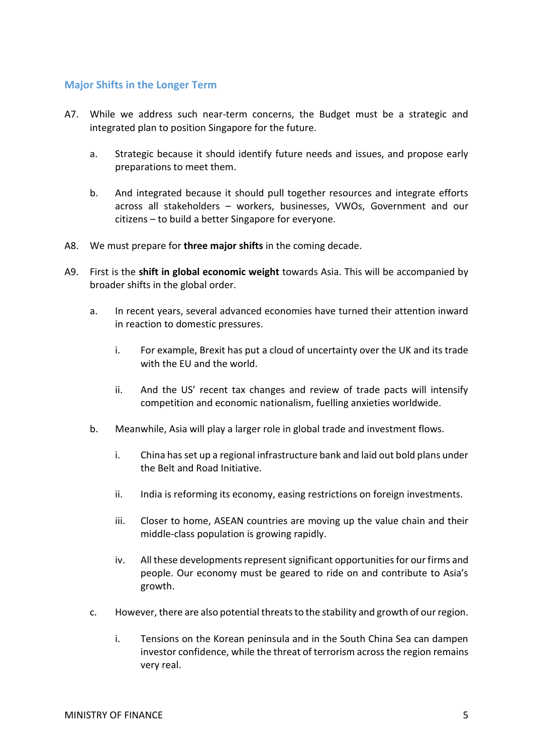## <span id="page-4-0"></span>**Major Shifts in the Longer Term**

- A7. While we address such near-term concerns, the Budget must be a strategic and integrated plan to position Singapore for the future.
	- a. Strategic because it should identify future needs and issues, and propose early preparations to meet them.
	- b. And integrated because it should pull together resources and integrate efforts across all stakeholders – workers, businesses, VWOs, Government and our citizens – to build a better Singapore for everyone.
- A8. We must prepare for **three major shifts** in the coming decade.
- A9. First is the **shift in global economic weight** towards Asia. This will be accompanied by broader shifts in the global order.
	- a. In recent years, several advanced economies have turned their attention inward in reaction to domestic pressures.
		- i. For example, Brexit has put a cloud of uncertainty over the UK and its trade with the EU and the world.
		- ii. And the US' recent tax changes and review of trade pacts will intensify competition and economic nationalism, fuelling anxieties worldwide.
	- b. Meanwhile, Asia will play a larger role in global trade and investment flows.
		- i. China has set up a regional infrastructure bank and laid out bold plans under the Belt and Road Initiative.
		- ii. India is reforming its economy, easing restrictions on foreign investments.
		- iii. Closer to home, ASEAN countries are moving up the value chain and their middle-class population is growing rapidly.
		- iv. All these developments represent significant opportunities for our firms and people. Our economy must be geared to ride on and contribute to Asia's growth.
	- c. However, there are also potential threats to the stability and growth of our region.
		- i. Tensions on the Korean peninsula and in the South China Sea can dampen investor confidence, while the threat of terrorism across the region remains very real.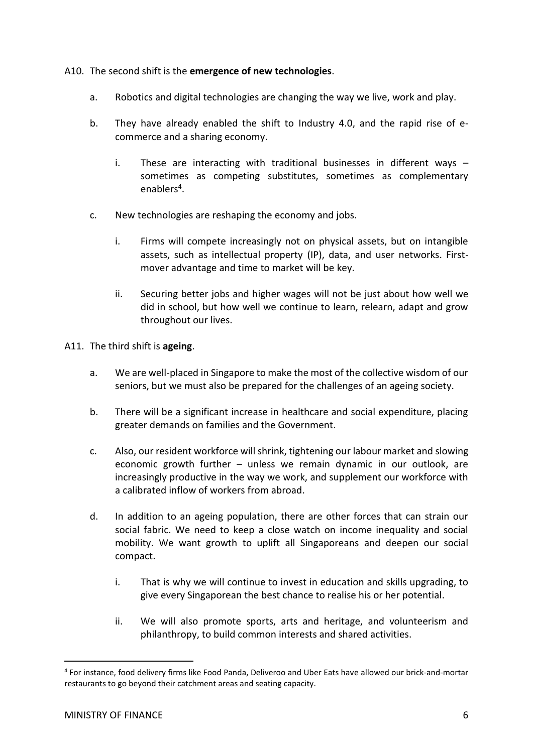## A10. The second shift is the **emergence of new technologies**.

- a. Robotics and digital technologies are changing the way we live, work and play.
- b. They have already enabled the shift to Industry 4.0, and the rapid rise of ecommerce and a sharing economy.
	- i. These are interacting with traditional businesses in different ways  $$ sometimes as competing substitutes, sometimes as complementary enablers<sup>4</sup>.
- c. New technologies are reshaping the economy and jobs.
	- i. Firms will compete increasingly not on physical assets, but on intangible assets, such as intellectual property (IP), data, and user networks. Firstmover advantage and time to market will be key.
	- ii. Securing better jobs and higher wages will not be just about how well we did in school, but how well we continue to learn, relearn, adapt and grow throughout our lives.

A11. The third shift is **ageing**.

- a. We are well-placed in Singapore to make the most of the collective wisdom of our seniors, but we must also be prepared for the challenges of an ageing society.
- b. There will be a significant increase in healthcare and social expenditure, placing greater demands on families and the Government.
- c. Also, our resident workforce will shrink, tightening our labour market and slowing economic growth further – unless we remain dynamic in our outlook, are increasingly productive in the way we work, and supplement our workforce with a calibrated inflow of workers from abroad.
- d. In addition to an ageing population, there are other forces that can strain our social fabric. We need to keep a close watch on income inequality and social mobility. We want growth to uplift all Singaporeans and deepen our social compact.
	- i. That is why we will continue to invest in education and skills upgrading, to give every Singaporean the best chance to realise his or her potential.
	- ii. We will also promote sports, arts and heritage, and volunteerism and philanthropy, to build common interests and shared activities.

-

<sup>4</sup> For instance, food delivery firms like Food Panda, Deliveroo and Uber Eats have allowed our brick-and-mortar restaurants to go beyond their catchment areas and seating capacity.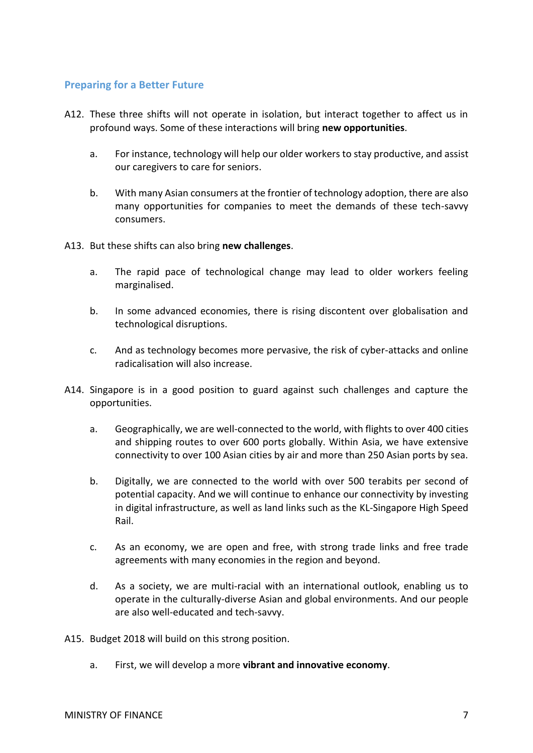## <span id="page-6-0"></span>**Preparing for a Better Future**

- A12. These three shifts will not operate in isolation, but interact together to affect us in profound ways. Some of these interactions will bring **new opportunities**.
	- a. For instance, technology will help our older workers to stay productive, and assist our caregivers to care for seniors.
	- b. With many Asian consumers at the frontier of technology adoption, there are also many opportunities for companies to meet the demands of these tech-savvy consumers.
- A13. But these shifts can also bring **new challenges**.
	- a. The rapid pace of technological change may lead to older workers feeling marginalised.
	- b. In some advanced economies, there is rising discontent over globalisation and technological disruptions.
	- c. And as technology becomes more pervasive, the risk of cyber-attacks and online radicalisation will also increase.
- A14. Singapore is in a good position to guard against such challenges and capture the opportunities.
	- a. Geographically, we are well-connected to the world, with flights to over 400 cities and shipping routes to over 600 ports globally. Within Asia, we have extensive connectivity to over 100 Asian cities by air and more than 250 Asian ports by sea.
	- b. Digitally, we are connected to the world with over 500 terabits per second of potential capacity. And we will continue to enhance our connectivity by investing in digital infrastructure, as well as land links such as the KL-Singapore High Speed Rail.
	- c. As an economy, we are open and free, with strong trade links and free trade agreements with many economies in the region and beyond.
	- d. As a society, we are multi-racial with an international outlook, enabling us to operate in the culturally-diverse Asian and global environments. And our people are also well-educated and tech-savvy.
- A15. Budget 2018 will build on this strong position.
	- a. First, we will develop a more **vibrant and innovative economy**.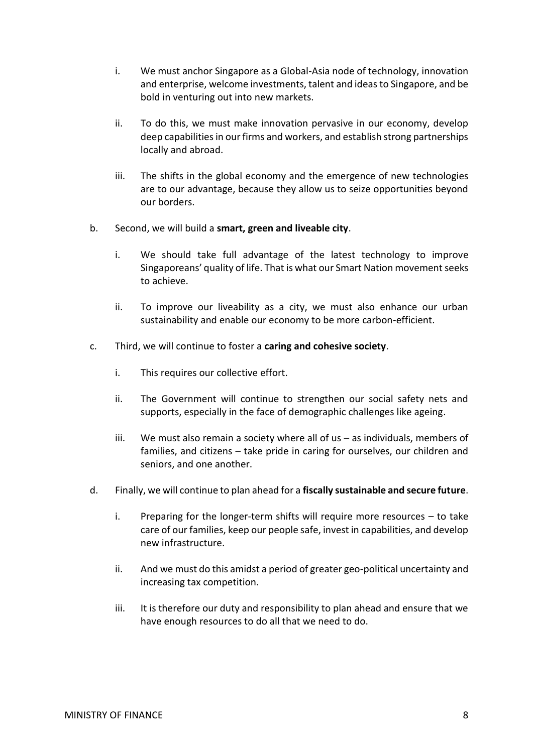- i. We must anchor Singapore as a Global-Asia node of technology, innovation and enterprise, welcome investments, talent and ideas to Singapore, and be bold in venturing out into new markets.
- ii. To do this, we must make innovation pervasive in our economy, develop deep capabilities in our firms and workers, and establish strong partnerships locally and abroad.
- iii. The shifts in the global economy and the emergence of new technologies are to our advantage, because they allow us to seize opportunities beyond our borders.
- b. Second, we will build a **smart, green and liveable city**.
	- i. We should take full advantage of the latest technology to improve Singaporeans' quality of life. That is what our Smart Nation movement seeks to achieve.
	- ii. To improve our liveability as a city, we must also enhance our urban sustainability and enable our economy to be more carbon-efficient.
- c. Third, we will continue to foster a **caring and cohesive society**.
	- i. This requires our collective effort.
	- ii. The Government will continue to strengthen our social safety nets and supports, especially in the face of demographic challenges like ageing.
	- iii. We must also remain a society where all of us as individuals, members of families, and citizens – take pride in caring for ourselves, our children and seniors, and one another.
- d. Finally, we will continue to plan ahead for a **fiscally sustainable and secure future**.
	- i. Preparing for the longer-term shifts will require more resources to take care of our families, keep our people safe, invest in capabilities, and develop new infrastructure.
	- ii. And we must do this amidst a period of greater geo-political uncertainty and increasing tax competition.
	- iii. It is therefore our duty and responsibility to plan ahead and ensure that we have enough resources to do all that we need to do.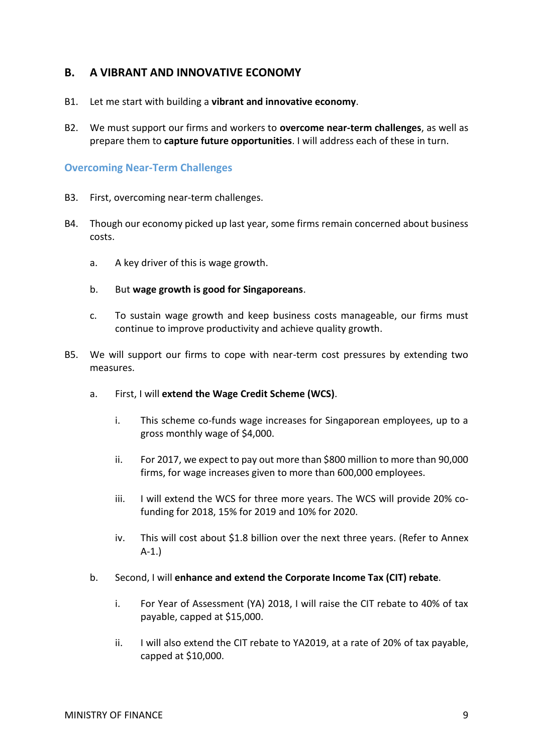## <span id="page-8-0"></span>**B. A VIBRANT AND INNOVATIVE ECONOMY**

- B1. Let me start with building a **vibrant and innovative economy**.
- B2. We must support our firms and workers to **overcome near-term challenges**, as well as prepare them to **capture future opportunities**. I will address each of these in turn.

## <span id="page-8-1"></span>**Overcoming Near-Term Challenges**

- B3. First, overcoming near-term challenges.
- B4. Though our economy picked up last year, some firms remain concerned about business costs.
	- a. A key driver of this is wage growth.
	- b. But **wage growth is good for Singaporeans**.
	- c. To sustain wage growth and keep business costs manageable, our firms must continue to improve productivity and achieve quality growth.
- B5. We will support our firms to cope with near-term cost pressures by extending two measures.
	- a. First, I will **extend the Wage Credit Scheme (WCS)**.
		- i. This scheme co-funds wage increases for Singaporean employees, up to a gross monthly wage of \$4,000.
		- ii. For 2017, we expect to pay out more than \$800 million to more than 90,000 firms, for wage increases given to more than 600,000 employees.
		- iii. I will extend the WCS for three more years. The WCS will provide 20% cofunding for 2018, 15% for 2019 and 10% for 2020.
		- iv. This will cost about \$1.8 billion over the next three years. (Refer to Annex A-1.)
	- b. Second, I will **enhance and extend the Corporate Income Tax (CIT) rebate**.
		- i. For Year of Assessment (YA) 2018, I will raise the CIT rebate to 40% of tax payable, capped at \$15,000.
		- ii. I will also extend the CIT rebate to YA2019, at a rate of 20% of tax payable, capped at \$10,000.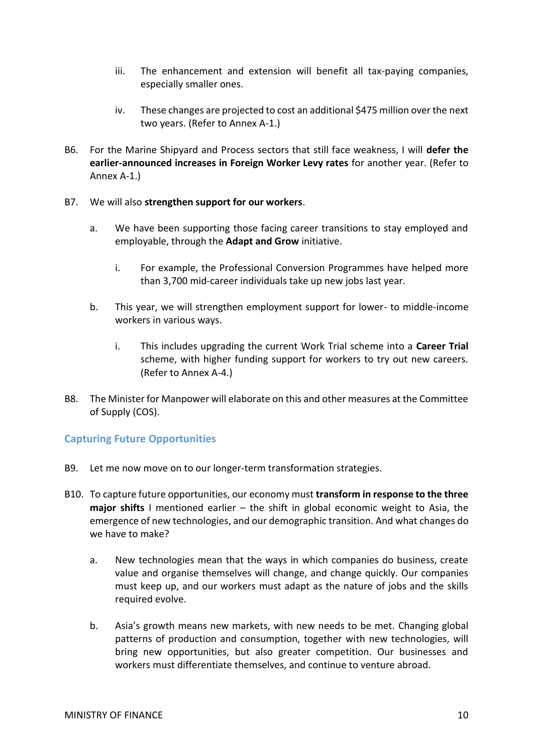- iii. The enhancement and extension will benefit all tax-paying companies, especially smaller ones.
- iv. These changes are projected to cost an additional \$475 million over the next two years. (Refer to Annex A-1.)
- B6. For the Marine Shipyard and Process sectors that still face weakness, I will **defer the earlier-announced increases in Foreign Worker Levy rates** for another year. (Refer to Annex A-1.)
- B7. We will also **strengthen support for our workers**.
	- a. We have been supporting those facing career transitions to stay employed and employable, through the **Adapt and Grow** initiative.
		- i. For example, the Professional Conversion Programmes have helped more than 3,700 mid-career individuals take up new jobs last year.
	- b. This year, we will strengthen employment support for lower- to middle-income workers in various ways.
		- i. This includes upgrading the current Work Trial scheme into a **Career Trial** scheme, with higher funding support for workers to try out new careers. (Refer to Annex A-4.)
- B8. The Minister for Manpower will elaborate on this and other measures at the Committee of Supply (COS).

## <span id="page-9-0"></span>**Capturing Future Opportunities**

- B9. Let me now move on to our longer-term transformation strategies.
- B10. To capture future opportunities, our economy must **transform in response to the three major shifts** I mentioned earlier – the shift in global economic weight to Asia, the emergence of new technologies, and our demographic transition. And what changes do we have to make?
	- a. New technologies mean that the ways in which companies do business, create value and organise themselves will change, and change quickly. Our companies must keep up, and our workers must adapt as the nature of jobs and the skills required evolve.
	- b. Asia's growth means new markets, with new needs to be met. Changing global patterns of production and consumption, together with new technologies, will bring new opportunities, but also greater competition. Our businesses and workers must differentiate themselves, and continue to venture abroad.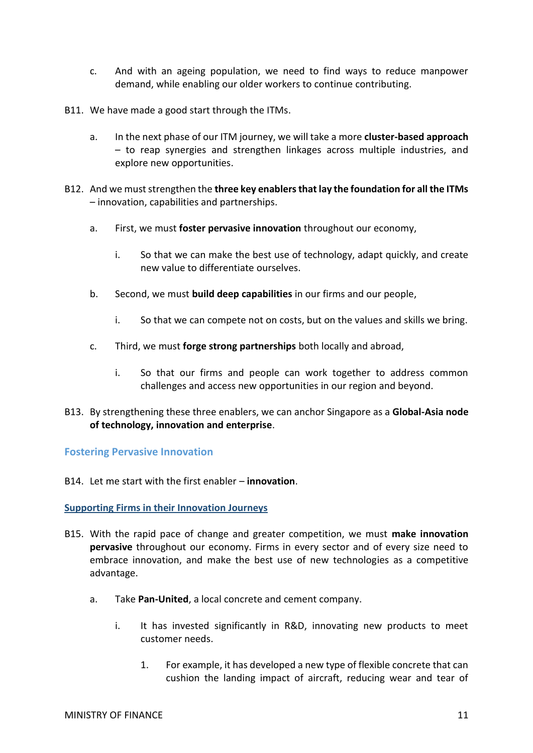- c. And with an ageing population, we need to find ways to reduce manpower demand, while enabling our older workers to continue contributing.
- B11. We have made a good start through the ITMs.
	- a. In the next phase of our ITM journey, we will take a more **cluster-based approach** – to reap synergies and strengthen linkages across multiple industries, and explore new opportunities.
- B12. And we must strengthen the **three key enablers that lay the foundation for all the ITMs** – innovation, capabilities and partnerships.
	- a. First, we must **foster pervasive innovation** throughout our economy,
		- i. So that we can make the best use of technology, adapt quickly, and create new value to differentiate ourselves.
	- b. Second, we must **build deep capabilities** in our firms and our people,
		- i. So that we can compete not on costs, but on the values and skills we bring.
	- c. Third, we must **forge strong partnerships** both locally and abroad,
		- i. So that our firms and people can work together to address common challenges and access new opportunities in our region and beyond.
- B13. By strengthening these three enablers, we can anchor Singapore as a **Global-Asia node of technology, innovation and enterprise**.

<span id="page-10-0"></span>**Fostering Pervasive Innovation**

B14. Let me start with the first enabler – **innovation**.

<span id="page-10-1"></span>**Supporting Firms in their Innovation Journeys**

- B15. With the rapid pace of change and greater competition, we must **make innovation pervasive** throughout our economy. Firms in every sector and of every size need to embrace innovation, and make the best use of new technologies as a competitive advantage.
	- a. Take **Pan-United**, a local concrete and cement company.
		- i. It has invested significantly in R&D, innovating new products to meet customer needs.
			- 1. For example, it has developed a new type of flexible concrete that can cushion the landing impact of aircraft, reducing wear and tear of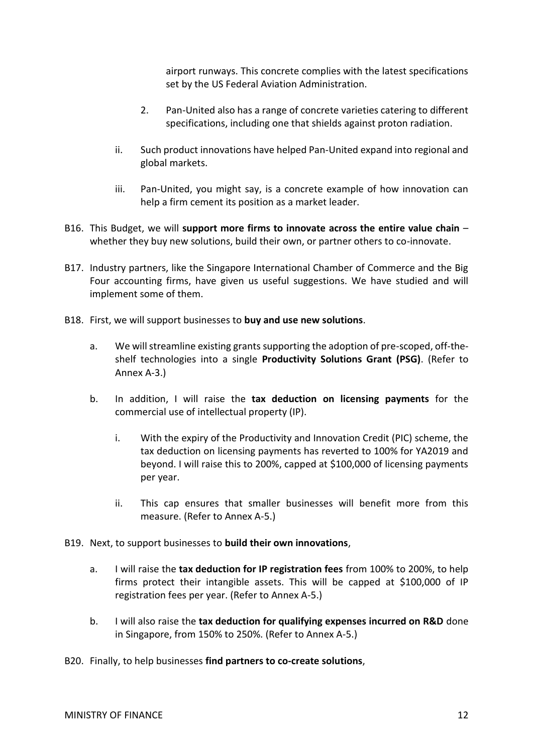airport runways. This concrete complies with the latest specifications set by the US Federal Aviation Administration.

- 2. Pan-United also has a range of concrete varieties catering to different specifications, including one that shields against proton radiation.
- ii. Such product innovations have helped Pan-United expand into regional and global markets.
- iii. Pan-United, you might say, is a concrete example of how innovation can help a firm cement its position as a market leader.
- B16. This Budget, we will **support more firms to innovate across the entire value chain** whether they buy new solutions, build their own, or partner others to co-innovate.
- B17. Industry partners, like the Singapore International Chamber of Commerce and the Big Four accounting firms, have given us useful suggestions. We have studied and will implement some of them.
- B18. First, we will support businesses to **buy and use new solutions**.
	- a. We will streamline existing grants supporting the adoption of pre-scoped, off-theshelf technologies into a single **Productivity Solutions Grant (PSG)**. (Refer to Annex A-3.)
	- b. In addition, I will raise the **tax deduction on licensing payments** for the commercial use of intellectual property (IP).
		- i. With the expiry of the Productivity and Innovation Credit (PIC) scheme, the tax deduction on licensing payments has reverted to 100% for YA2019 and beyond. I will raise this to 200%, capped at \$100,000 of licensing payments per year.
		- ii. This cap ensures that smaller businesses will benefit more from this measure. (Refer to Annex A-5.)
- B19. Next, to support businesses to **build their own innovations**,
	- a. I will raise the **tax deduction for IP registration fees** from 100% to 200%, to help firms protect their intangible assets. This will be capped at \$100,000 of IP registration fees per year. (Refer to Annex A-5.)
	- b. I will also raise the **tax deduction for qualifying expenses incurred on R&D** done in Singapore, from 150% to 250%. (Refer to Annex A-5.)
- B20. Finally, to help businesses **find partners to co-create solutions**,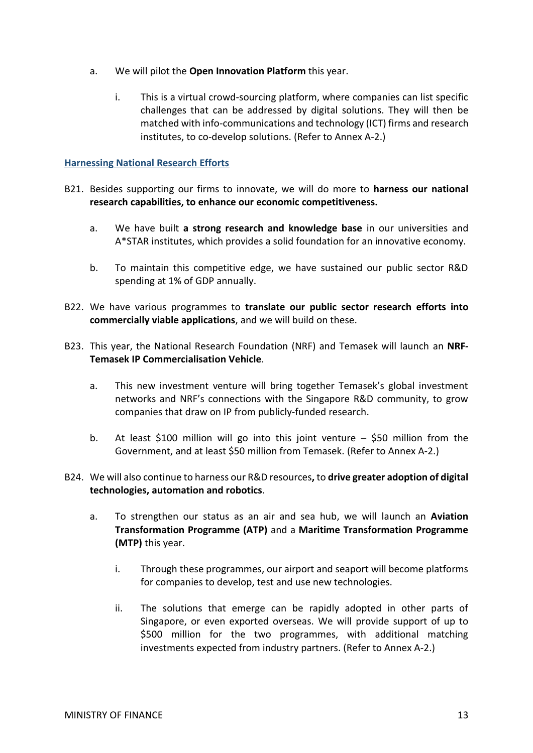- a. We will pilot the **Open Innovation Platform** this year.
	- i. This is a virtual crowd-sourcing platform, where companies can list specific challenges that can be addressed by digital solutions. They will then be matched with info-communications and technology (ICT) firms and research institutes, to co-develop solutions. (Refer to Annex A-2.)

## <span id="page-12-0"></span>**Harnessing National Research Efforts**

- B21. Besides supporting our firms to innovate, we will do more to **harness our national research capabilities, to enhance our economic competitiveness.**
	- a. We have built **a strong research and knowledge base** in our universities and A\*STAR institutes, which provides a solid foundation for an innovative economy.
	- b. To maintain this competitive edge, we have sustained our public sector R&D spending at 1% of GDP annually.
- B22. We have various programmes to **translate our public sector research efforts into commercially viable applications**, and we will build on these.
- B23. This year, the National Research Foundation (NRF) and Temasek will launch an **NRF-Temasek IP Commercialisation Vehicle**.
	- a. This new investment venture will bring together Temasek's global investment networks and NRF's connections with the Singapore R&D community, to grow companies that draw on IP from publicly-funded research.
	- b. At least \$100 million will go into this joint venture \$50 million from the Government, and at least \$50 million from Temasek. (Refer to Annex A-2.)
- B24. We will also continue to harness our R&D resources**,** to **drive greater adoption of digital technologies, automation and robotics**.
	- a. To strengthen our status as an air and sea hub, we will launch an **Aviation Transformation Programme (ATP)** and a **Maritime Transformation Programme (MTP)** this year.
		- i. Through these programmes, our airport and seaport will become platforms for companies to develop, test and use new technologies.
		- ii. The solutions that emerge can be rapidly adopted in other parts of Singapore, or even exported overseas. We will provide support of up to \$500 million for the two programmes, with additional matching investments expected from industry partners. (Refer to Annex A-2.)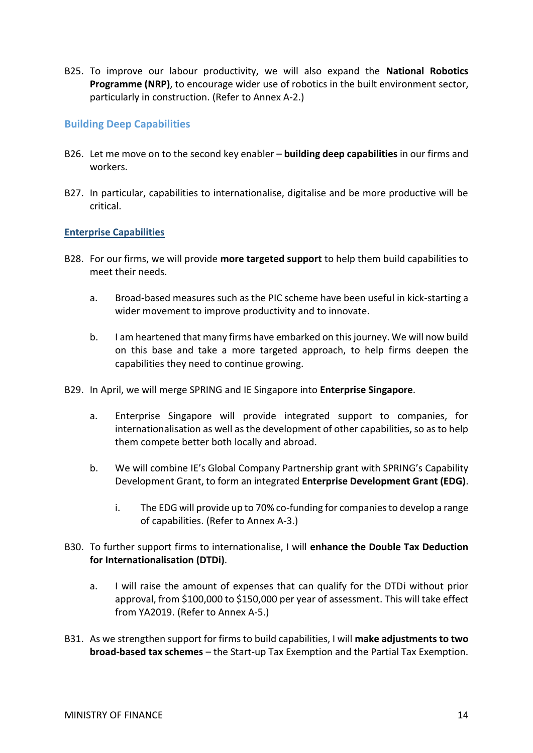B25. To improve our labour productivity, we will also expand the **National Robotics Programme (NRP)**, to encourage wider use of robotics in the built environment sector, particularly in construction. (Refer to Annex A-2.)

## <span id="page-13-0"></span>**Building Deep Capabilities**

- B26. Let me move on to the second key enabler **building deep capabilities** in our firms and workers.
- B27. In particular, capabilities to internationalise, digitalise and be more productive will be critical.

## <span id="page-13-1"></span>**Enterprise Capabilities**

- B28. For our firms, we will provide **more targeted support** to help them build capabilities to meet their needs.
	- a. Broad-based measures such as the PIC scheme have been useful in kick-starting a wider movement to improve productivity and to innovate.
	- b. I am heartened that many firms have embarked on this journey. We will now build on this base and take a more targeted approach, to help firms deepen the capabilities they need to continue growing.
- B29. In April, we will merge SPRING and IE Singapore into **Enterprise Singapore**.
	- a. Enterprise Singapore will provide integrated support to companies, for internationalisation as well as the development of other capabilities, so as to help them compete better both locally and abroad.
	- b. We will combine IE's Global Company Partnership grant with SPRING's Capability Development Grant, to form an integrated **Enterprise Development Grant (EDG)**.
		- i. The EDG will provide up to 70% co-funding for companies to develop a range of capabilities. (Refer to Annex A-3.)
- B30. To further support firms to internationalise, I will **enhance the Double Tax Deduction for Internationalisation (DTDi)**.
	- a. I will raise the amount of expenses that can qualify for the DTDi without prior approval, from \$100,000 to \$150,000 per year of assessment. This will take effect from YA2019. (Refer to Annex A-5.)
- B31. As we strengthen support for firms to build capabilities, I will **make adjustments to two broad-based tax schemes** – the Start-up Tax Exemption and the Partial Tax Exemption.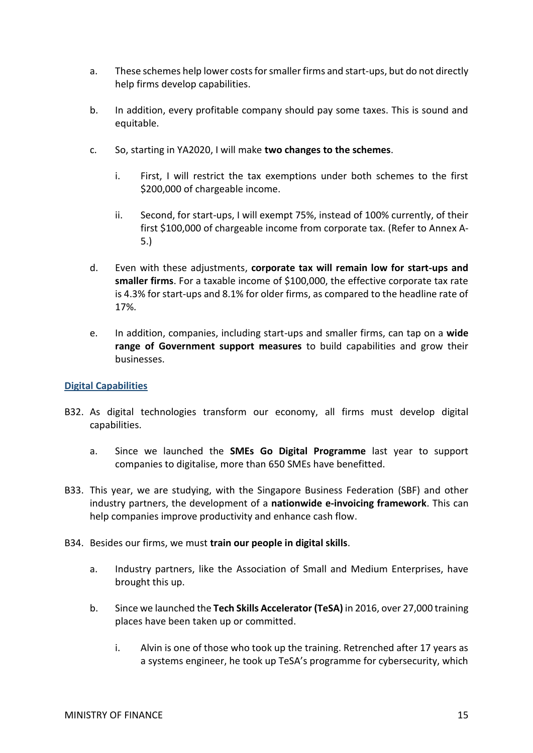- a. These schemes help lower costs for smaller firms and start-ups, but do not directly help firms develop capabilities.
- b. In addition, every profitable company should pay some taxes. This is sound and equitable.
- c. So, starting in YA2020, I will make **two changes to the schemes**.
	- i. First, I will restrict the tax exemptions under both schemes to the first \$200,000 of chargeable income.
	- ii. Second, for start-ups, I will exempt 75%, instead of 100% currently, of their first \$100,000 of chargeable income from corporate tax. (Refer to Annex A-5.)
- d. Even with these adjustments, **corporate tax will remain low for start-ups and smaller firms**. For a taxable income of \$100,000, the effective corporate tax rate is 4.3% for start-ups and 8.1% for older firms, as compared to the headline rate of 17%.
- e. In addition, companies, including start-ups and smaller firms, can tap on a **wide range of Government support measures** to build capabilities and grow their businesses.

## <span id="page-14-0"></span>**Digital Capabilities**

- B32. As digital technologies transform our economy, all firms must develop digital capabilities.
	- a. Since we launched the **SMEs Go Digital Programme** last year to support companies to digitalise, more than 650 SMEs have benefitted.
- B33. This year, we are studying, with the Singapore Business Federation (SBF) and other industry partners, the development of a **nationwide e-invoicing framework**. This can help companies improve productivity and enhance cash flow.
- B34. Besides our firms, we must **train our people in digital skills**.
	- a. Industry partners, like the Association of Small and Medium Enterprises, have brought this up.
	- b. Since we launched the **Tech Skills Accelerator (TeSA)** in 2016, over 27,000 training places have been taken up or committed.
		- i. Alvin is one of those who took up the training. Retrenched after 17 years as a systems engineer, he took up TeSA's programme for cybersecurity, which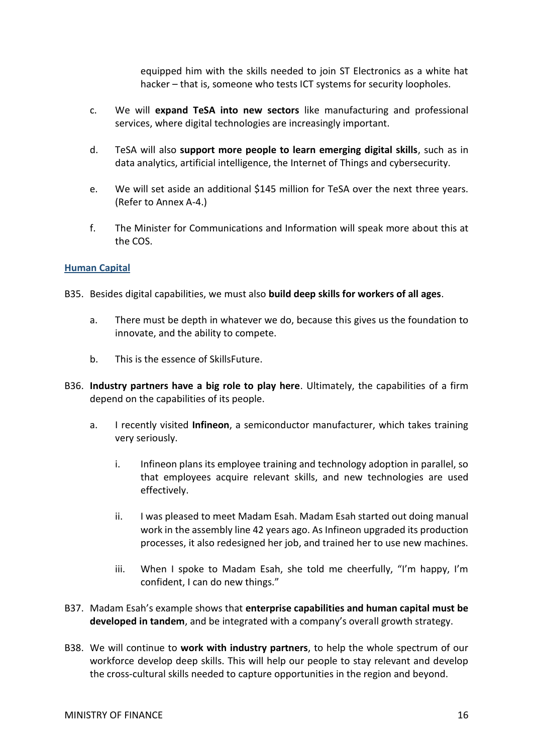equipped him with the skills needed to join ST Electronics as a white hat hacker – that is, someone who tests ICT systems for security loopholes.

- c. We will **expand TeSA into new sectors** like manufacturing and professional services, where digital technologies are increasingly important.
- d. TeSA will also **support more people to learn emerging digital skills**, such as in data analytics, artificial intelligence, the Internet of Things and cybersecurity.
- e. We will set aside an additional \$145 million for TeSA over the next three years. (Refer to Annex A-4.)
- f. The Minister for Communications and Information will speak more about this at the COS.

#### <span id="page-15-0"></span>**Human Capital**

- B35. Besides digital capabilities, we must also **build deep skills for workers of all ages**.
	- a. There must be depth in whatever we do, because this gives us the foundation to innovate, and the ability to compete.
	- b. This is the essence of SkillsFuture.
- B36. **Industry partners have a big role to play here**. Ultimately, the capabilities of a firm depend on the capabilities of its people.
	- a. I recently visited **Infineon**, a semiconductor manufacturer, which takes training very seriously.
		- i. Infineon plans its employee training and technology adoption in parallel, so that employees acquire relevant skills, and new technologies are used effectively.
		- ii. I was pleased to meet Madam Esah. Madam Esah started out doing manual work in the assembly line 42 years ago. As Infineon upgraded its production processes, it also redesigned her job, and trained her to use new machines.
		- iii. When I spoke to Madam Esah, she told me cheerfully, "I'm happy, I'm confident, I can do new things."
- B37. Madam Esah's example shows that **enterprise capabilities and human capital must be developed in tandem**, and be integrated with a company's overall growth strategy.
- B38. We will continue to **work with industry partners**, to help the whole spectrum of our workforce develop deep skills. This will help our people to stay relevant and develop the cross-cultural skills needed to capture opportunities in the region and beyond.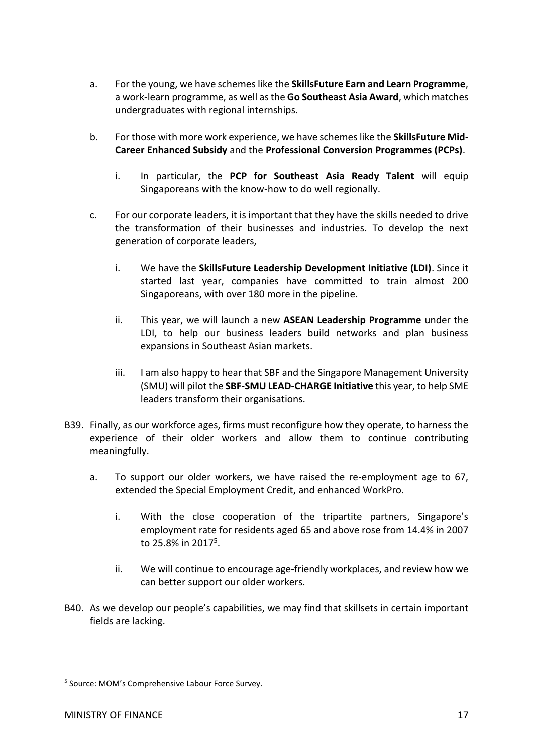- a. For the young, we have schemes like the **SkillsFuture Earn and Learn Programme**, a work-learn programme, as well as the **Go Southeast Asia Award**, which matches undergraduates with regional internships.
- b. For those with more work experience, we have schemes like the **SkillsFuture Mid-Career Enhanced Subsidy** and the **Professional Conversion Programmes (PCPs)**.
	- i. In particular, the **PCP for Southeast Asia Ready Talent** will equip Singaporeans with the know-how to do well regionally.
- c. For our corporate leaders, it is important that they have the skills needed to drive the transformation of their businesses and industries. To develop the next generation of corporate leaders,
	- i. We have the **SkillsFuture Leadership Development Initiative (LDI)**. Since it started last year, companies have committed to train almost 200 Singaporeans, with over 180 more in the pipeline.
	- ii. This year, we will launch a new **ASEAN Leadership Programme** under the LDI, to help our business leaders build networks and plan business expansions in Southeast Asian markets.
	- iii. I am also happy to hear that SBF and the Singapore Management University (SMU) will pilot the **SBF-SMU LEAD-CHARGE Initiative** this year, to help SME leaders transform their organisations.
- B39. Finally, as our workforce ages, firms must reconfigure how they operate, to harness the experience of their older workers and allow them to continue contributing meaningfully.
	- a. To support our older workers, we have raised the re-employment age to 67, extended the Special Employment Credit, and enhanced WorkPro.
		- i. With the close cooperation of the tripartite partners, Singapore's employment rate for residents aged 65 and above rose from 14.4% in 2007 to 25.8% in 2017<sup>5</sup>.
		- ii. We will continue to encourage age-friendly workplaces, and review how we can better support our older workers.
- B40. As we develop our people's capabilities, we may find that skillsets in certain important fields are lacking.

 $\overline{a}$ 

<sup>5</sup> Source: MOM's Comprehensive Labour Force Survey.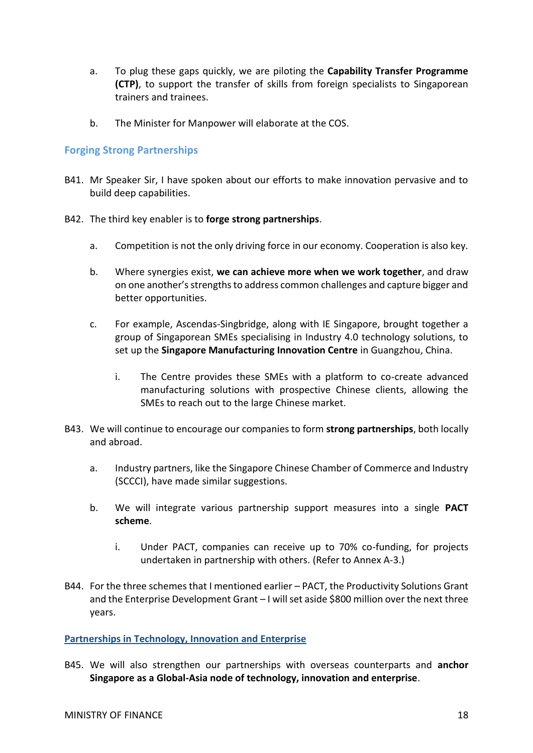- a. To plug these gaps quickly, we are piloting the **Capability Transfer Programme (CTP)**, to support the transfer of skills from foreign specialists to Singaporean trainers and trainees.
- b. The Minister for Manpower will elaborate at the COS.

## <span id="page-17-0"></span>**Forging Strong Partnerships**

- B41. Mr Speaker Sir, I have spoken about our efforts to make innovation pervasive and to build deep capabilities.
- B42. The third key enabler is to **forge strong partnerships**.
	- a. Competition is not the only driving force in our economy. Cooperation is also key.
	- b. Where synergies exist, **we can achieve more when we work together**, and draw on one another's strengths to address common challenges and capture bigger and better opportunities.
	- c. For example, Ascendas-Singbridge, along with IE Singapore, brought together a group of Singaporean SMEs specialising in Industry 4.0 technology solutions, to set up the **Singapore Manufacturing Innovation Centre** in Guangzhou, China.
		- i. The Centre provides these SMEs with a platform to co-create advanced manufacturing solutions with prospective Chinese clients, allowing the SMEs to reach out to the large Chinese market.
- B43. We will continue to encourage our companies to form **strong partnerships**, both locally and abroad.
	- a. Industry partners, like the Singapore Chinese Chamber of Commerce and Industry (SCCCI), have made similar suggestions.
	- b. We will integrate various partnership support measures into a single **PACT scheme**.
		- i. Under PACT, companies can receive up to 70% co-funding, for projects undertaken in partnership with others. (Refer to Annex A-3.)
- B44. For the three schemes that I mentioned earlier PACT, the Productivity Solutions Grant and the Enterprise Development Grant – I will set aside \$800 million over the next three years.

<span id="page-17-1"></span>**Partnerships in Technology, Innovation and Enterprise**

B45. We will also strengthen our partnerships with overseas counterparts and **anchor Singapore as a Global-Asia node of technology, innovation and enterprise**.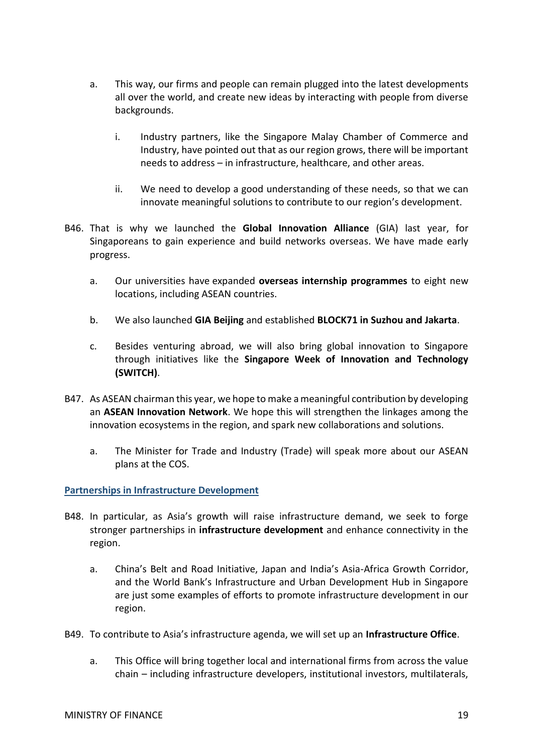- a. This way, our firms and people can remain plugged into the latest developments all over the world, and create new ideas by interacting with people from diverse backgrounds.
	- i. Industry partners, like the Singapore Malay Chamber of Commerce and Industry, have pointed out that as our region grows, there will be important needs to address – in infrastructure, healthcare, and other areas.
	- ii. We need to develop a good understanding of these needs, so that we can innovate meaningful solutions to contribute to our region's development.
- B46. That is why we launched the **Global Innovation Alliance** (GIA) last year, for Singaporeans to gain experience and build networks overseas. We have made early progress.
	- a. Our universities have expanded **overseas internship programmes** to eight new locations, including ASEAN countries.
	- b. We also launched **GIA Beijing** and established **BLOCK71 in Suzhou and Jakarta**.
	- c. Besides venturing abroad, we will also bring global innovation to Singapore through initiatives like the **Singapore Week of Innovation and Technology (SWITCH)**.
- B47. As ASEAN chairman this year, we hope to make a meaningful contribution by developing an **ASEAN Innovation Network**. We hope this will strengthen the linkages among the innovation ecosystems in the region, and spark new collaborations and solutions.
	- a. The Minister for Trade and Industry (Trade) will speak more about our ASEAN plans at the COS.

#### <span id="page-18-0"></span>**Partnerships in Infrastructure Development**

- B48. In particular, as Asia's growth will raise infrastructure demand, we seek to forge stronger partnerships in **infrastructure development** and enhance connectivity in the region.
	- a. China's Belt and Road Initiative, Japan and India's Asia-Africa Growth Corridor, and the World Bank's Infrastructure and Urban Development Hub in Singapore are just some examples of efforts to promote infrastructure development in our region.
- B49. To contribute to Asia's infrastructure agenda, we will set up an **Infrastructure Office**.
	- a. This Office will bring together local and international firms from across the value chain – including infrastructure developers, institutional investors, multilaterals,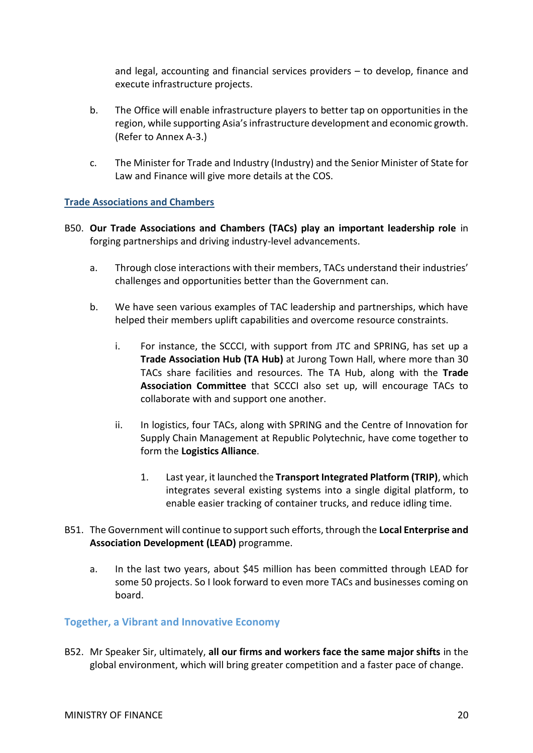and legal, accounting and financial services providers – to develop, finance and execute infrastructure projects.

- b. The Office will enable infrastructure players to better tap on opportunities in the region, while supporting Asia's infrastructure development and economic growth. (Refer to Annex A-3.)
- c. The Minister for Trade and Industry (Industry) and the Senior Minister of State for Law and Finance will give more details at the COS.

## <span id="page-19-0"></span>**Trade Associations and Chambers**

- B50. **Our Trade Associations and Chambers (TACs) play an important leadership role** in forging partnerships and driving industry-level advancements.
	- a. Through close interactions with their members, TACs understand their industries' challenges and opportunities better than the Government can.
	- b. We have seen various examples of TAC leadership and partnerships, which have helped their members uplift capabilities and overcome resource constraints.
		- i. For instance, the SCCCI, with support from JTC and SPRING, has set up a **Trade Association Hub (TA Hub)** at Jurong Town Hall, where more than 30 TACs share facilities and resources. The TA Hub, along with the **Trade Association Committee** that SCCCI also set up, will encourage TACs to collaborate with and support one another.
		- ii. In logistics, four TACs, along with SPRING and the Centre of Innovation for Supply Chain Management at Republic Polytechnic, have come together to form the **Logistics Alliance**.
			- 1. Last year, it launched the **Transport Integrated Platform (TRIP)**, which integrates several existing systems into a single digital platform, to enable easier tracking of container trucks, and reduce idling time.
- B51. The Government will continue to support such efforts, through the **Local Enterprise and Association Development (LEAD)** programme.
	- a. In the last two years, about \$45 million has been committed through LEAD for some 50 projects. So I look forward to even more TACs and businesses coming on board.

## <span id="page-19-1"></span>**Together, a Vibrant and Innovative Economy**

B52. Mr Speaker Sir, ultimately, **all our firms and workers face the same major shifts** in the global environment, which will bring greater competition and a faster pace of change.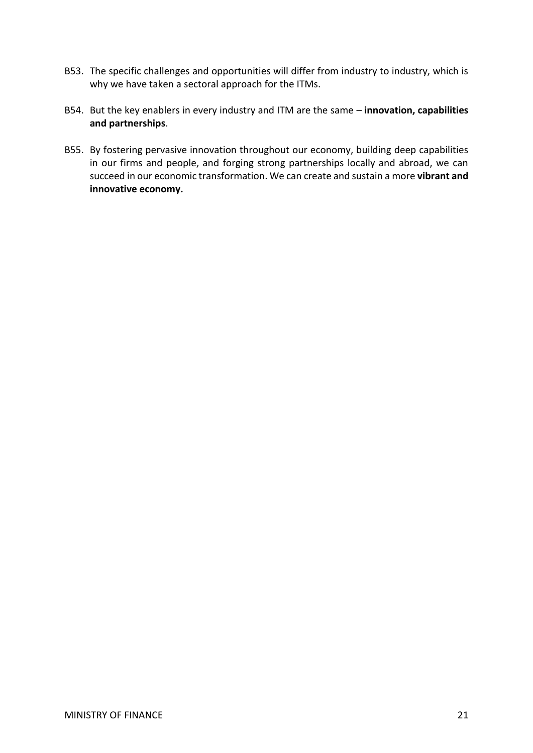- B53. The specific challenges and opportunities will differ from industry to industry, which is why we have taken a sectoral approach for the ITMs.
- B54. But the key enablers in every industry and ITM are the same **innovation, capabilities and partnerships**.
- B55. By fostering pervasive innovation throughout our economy, building deep capabilities in our firms and people, and forging strong partnerships locally and abroad, we can succeed in our economic transformation. We can create and sustain a more **vibrant and innovative economy.**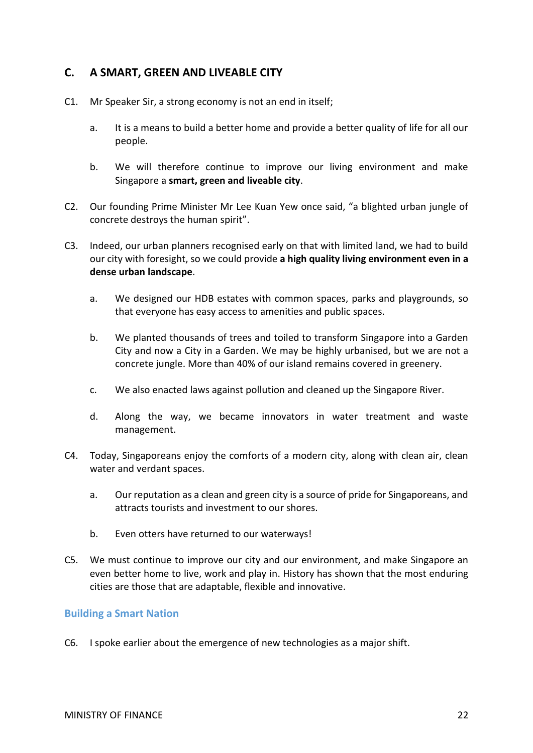# <span id="page-21-0"></span>**C. A SMART, GREEN AND LIVEABLE CITY**

- C1. Mr Speaker Sir, a strong economy is not an end in itself;
	- a. It is a means to build a better home and provide a better quality of life for all our people.
	- b. We will therefore continue to improve our living environment and make Singapore a **smart, green and liveable city**.
- C2. Our founding Prime Minister Mr Lee Kuan Yew once said, "a blighted urban jungle of concrete destroys the human spirit".
- C3. Indeed, our urban planners recognised early on that with limited land, we had to build our city with foresight, so we could provide **a high quality living environment even in a dense urban landscape**.
	- a. We designed our HDB estates with common spaces, parks and playgrounds, so that everyone has easy access to amenities and public spaces.
	- b. We planted thousands of trees and toiled to transform Singapore into a Garden City and now a City in a Garden. We may be highly urbanised, but we are not a concrete jungle. More than 40% of our island remains covered in greenery.
	- c. We also enacted laws against pollution and cleaned up the Singapore River.
	- d. Along the way, we became innovators in water treatment and waste management.
- C4. Today, Singaporeans enjoy the comforts of a modern city, along with clean air, clean water and verdant spaces.
	- a. Our reputation as a clean and green city is a source of pride for Singaporeans, and attracts tourists and investment to our shores.
	- b. Even otters have returned to our waterways!
- C5. We must continue to improve our city and our environment, and make Singapore an even better home to live, work and play in. History has shown that the most enduring cities are those that are adaptable, flexible and innovative.

## <span id="page-21-1"></span>**Building a Smart Nation**

C6. I spoke earlier about the emergence of new technologies as a major shift.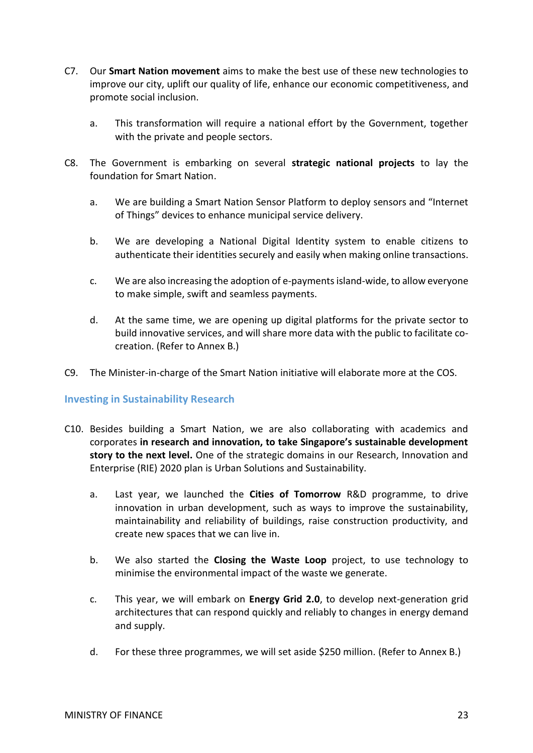- C7. Our **Smart Nation movement** aims to make the best use of these new technologies to improve our city, uplift our quality of life, enhance our economic competitiveness, and promote social inclusion.
	- a. This transformation will require a national effort by the Government, together with the private and people sectors.
- C8. The Government is embarking on several **strategic national projects** to lay the foundation for Smart Nation.
	- a. We are building a Smart Nation Sensor Platform to deploy sensors and "Internet of Things" devices to enhance municipal service delivery.
	- b. We are developing a National Digital Identity system to enable citizens to authenticate their identities securely and easily when making online transactions.
	- c. We are also increasing the adoption of e-payments island-wide, to allow everyone to make simple, swift and seamless payments.
	- d. At the same time, we are opening up digital platforms for the private sector to build innovative services, and will share more data with the public to facilitate cocreation. (Refer to Annex B.)
- C9. The Minister-in-charge of the Smart Nation initiative will elaborate more at the COS.

#### <span id="page-22-0"></span>**Investing in Sustainability Research**

- C10. Besides building a Smart Nation, we are also collaborating with academics and corporates **in research and innovation, to take Singapore's sustainable development story to the next level.** One of the strategic domains in our Research, Innovation and Enterprise (RIE) 2020 plan is Urban Solutions and Sustainability.
	- a. Last year, we launched the **Cities of Tomorrow** R&D programme, to drive innovation in urban development, such as ways to improve the sustainability, maintainability and reliability of buildings, raise construction productivity, and create new spaces that we can live in.
	- b. We also started the **Closing the Waste Loop** project, to use technology to minimise the environmental impact of the waste we generate.
	- c. This year, we will embark on **Energy Grid 2.0**, to develop next-generation grid architectures that can respond quickly and reliably to changes in energy demand and supply.
	- d. For these three programmes, we will set aside \$250 million. (Refer to Annex B.)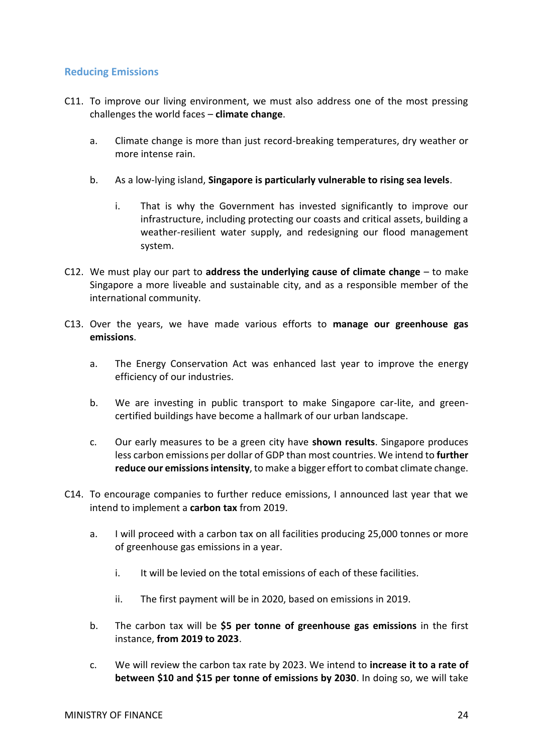## <span id="page-23-0"></span>**Reducing Emissions**

- C11. To improve our living environment, we must also address one of the most pressing challenges the world faces – **climate change**.
	- a. Climate change is more than just record-breaking temperatures, dry weather or more intense rain.
	- b. As a low-lying island, **Singapore is particularly vulnerable to rising sea levels**.
		- i. That is why the Government has invested significantly to improve our infrastructure, including protecting our coasts and critical assets, building a weather-resilient water supply, and redesigning our flood management system.
- C12. We must play our part to **address the underlying cause of climate change** to make Singapore a more liveable and sustainable city, and as a responsible member of the international community.
- C13. Over the years, we have made various efforts to **manage our greenhouse gas emissions**.
	- a. The Energy Conservation Act was enhanced last year to improve the energy efficiency of our industries.
	- b. We are investing in public transport to make Singapore car-lite, and greencertified buildings have become a hallmark of our urban landscape.
	- c. Our early measures to be a green city have **shown results**. Singapore produces less carbon emissions per dollar of GDP than most countries. We intend to **further**  reduce our emissions intensity, to make a bigger effort to combat climate change.
- C14. To encourage companies to further reduce emissions, I announced last year that we intend to implement a **carbon tax** from 2019.
	- a. I will proceed with a carbon tax on all facilities producing 25,000 tonnes or more of greenhouse gas emissions in a year.
		- i. It will be levied on the total emissions of each of these facilities.
		- ii. The first payment will be in 2020, based on emissions in 2019.
	- b. The carbon tax will be **\$5 per tonne of greenhouse gas emissions** in the first instance, **from 2019 to 2023**.
	- c. We will review the carbon tax rate by 2023. We intend to **increase it to a rate of between \$10 and \$15 per tonne of emissions by 2030**. In doing so, we will take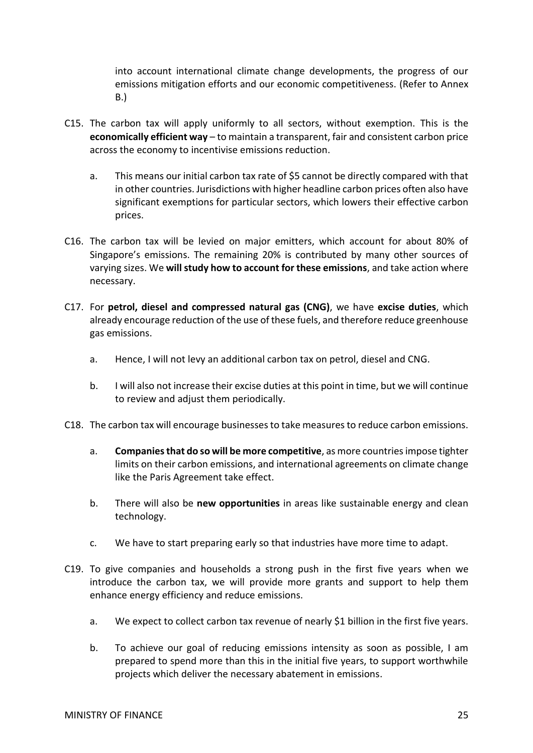into account international climate change developments, the progress of our emissions mitigation efforts and our economic competitiveness. (Refer to Annex B.)

- C15. The carbon tax will apply uniformly to all sectors, without exemption. This is the **economically efficient way** – to maintain a transparent, fair and consistent carbon price across the economy to incentivise emissions reduction.
	- a. This means our initial carbon tax rate of \$5 cannot be directly compared with that in other countries. Jurisdictions with higher headline carbon prices often also have significant exemptions for particular sectors, which lowers their effective carbon prices.
- C16. The carbon tax will be levied on major emitters, which account for about 80% of Singapore's emissions. The remaining 20% is contributed by many other sources of varying sizes. We **will study how to account for these emissions**, and take action where necessary.
- C17. For **petrol, diesel and compressed natural gas (CNG)**, we have **excise duties**, which already encourage reduction of the use of these fuels, and therefore reduce greenhouse gas emissions.
	- a. Hence, I will not levy an additional carbon tax on petrol, diesel and CNG.
	- b. I will also not increase their excise duties at this point in time, but we will continue to review and adjust them periodically.
- C18. The carbon tax will encourage businesses to take measures to reduce carbon emissions.
	- a. **Companies that do so will be more competitive**, as more countries impose tighter limits on their carbon emissions, and international agreements on climate change like the Paris Agreement take effect.
	- b. There will also be **new opportunities** in areas like sustainable energy and clean technology.
	- c. We have to start preparing early so that industries have more time to adapt.
- C19. To give companies and households a strong push in the first five years when we introduce the carbon tax, we will provide more grants and support to help them enhance energy efficiency and reduce emissions.
	- a. We expect to collect carbon tax revenue of nearly \$1 billion in the first five years.
	- b. To achieve our goal of reducing emissions intensity as soon as possible, I am prepared to spend more than this in the initial five years, to support worthwhile projects which deliver the necessary abatement in emissions.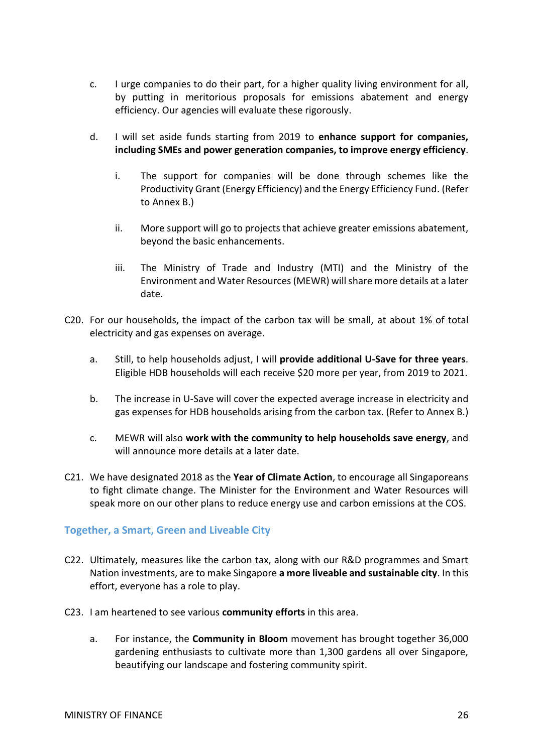- c. I urge companies to do their part, for a higher quality living environment for all, by putting in meritorious proposals for emissions abatement and energy efficiency. Our agencies will evaluate these rigorously.
- d. I will set aside funds starting from 2019 to **enhance support for companies, including SMEs and power generation companies, to improve energy efficiency**.
	- i. The support for companies will be done through schemes like the Productivity Grant (Energy Efficiency) and the Energy Efficiency Fund. (Refer to Annex B.)
	- ii. More support will go to projects that achieve greater emissions abatement, beyond the basic enhancements.
	- iii. The Ministry of Trade and Industry (MTI) and the Ministry of the Environment and Water Resources (MEWR) will share more details at a later date.
- C20. For our households, the impact of the carbon tax will be small, at about 1% of total electricity and gas expenses on average.
	- a. Still, to help households adjust, I will **provide additional U-Save for three years**. Eligible HDB households will each receive \$20 more per year, from 2019 to 2021.
	- b. The increase in U-Save will cover the expected average increase in electricity and gas expenses for HDB households arising from the carbon tax. (Refer to Annex B.)
	- c. MEWR will also **work with the community to help households save energy**, and will announce more details at a later date.
- C21. We have designated 2018 as the **Year of Climate Action**, to encourage all Singaporeans to fight climate change. The Minister for the Environment and Water Resources will speak more on our other plans to reduce energy use and carbon emissions at the COS.

## <span id="page-25-0"></span>**Together, a Smart, Green and Liveable City**

- C22. Ultimately, measures like the carbon tax, along with our R&D programmes and Smart Nation investments, are to make Singapore **a more liveable and sustainable city**. In this effort, everyone has a role to play.
- C23. I am heartened to see various **community efforts** in this area.
	- a. For instance, the **Community in Bloom** movement has brought together 36,000 gardening enthusiasts to cultivate more than 1,300 gardens all over Singapore, beautifying our landscape and fostering community spirit.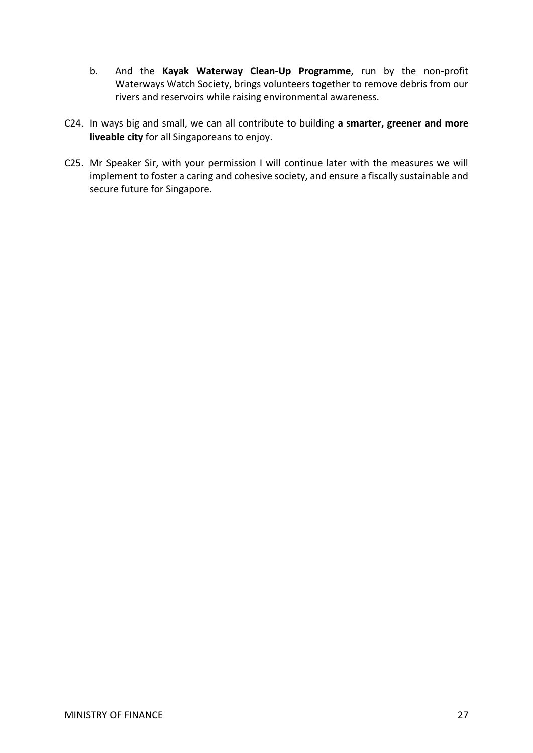- b. And the **Kayak Waterway Clean-Up Programme**, run by the non-profit Waterways Watch Society, brings volunteers together to remove debris from our rivers and reservoirs while raising environmental awareness.
- C24. In ways big and small, we can all contribute to building **a smarter, greener and more liveable city** for all Singaporeans to enjoy.
- C25. Mr Speaker Sir, with your permission I will continue later with the measures we will implement to foster a caring and cohesive society, and ensure a fiscally sustainable and secure future for Singapore.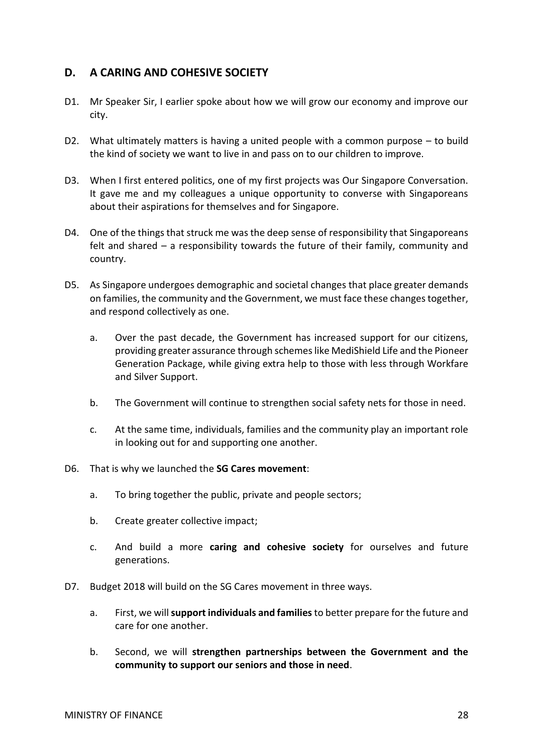# <span id="page-27-0"></span>**D. A CARING AND COHESIVE SOCIETY**

- D1. Mr Speaker Sir, I earlier spoke about how we will grow our economy and improve our city.
- D2. What ultimately matters is having a united people with a common purpose to build the kind of society we want to live in and pass on to our children to improve.
- D3. When I first entered politics, one of my first projects was Our Singapore Conversation. It gave me and my colleagues a unique opportunity to converse with Singaporeans about their aspirations for themselves and for Singapore.
- D4. One of the things that struck me was the deep sense of responsibility that Singaporeans felt and shared – a responsibility towards the future of their family, community and country.
- D5. As Singapore undergoes demographic and societal changes that place greater demands on families, the community and the Government, we must face these changes together, and respond collectively as one.
	- a. Over the past decade, the Government has increased support for our citizens, providing greater assurance through schemes like MediShield Life and the Pioneer Generation Package, while giving extra help to those with less through Workfare and Silver Support.
	- b. The Government will continue to strengthen social safety nets for those in need.
	- c. At the same time, individuals, families and the community play an important role in looking out for and supporting one another.
- D6. That is why we launched the **SG Cares movement**:
	- a. To bring together the public, private and people sectors;
	- b. Create greater collective impact;
	- c. And build a more **caring and cohesive society** for ourselves and future generations.
- D7. Budget 2018 will build on the SG Cares movement in three ways.
	- a. First, we will **support individuals and families**to better prepare for the future and care for one another.
	- b. Second, we will **strengthen partnerships between the Government and the community to support our seniors and those in need**.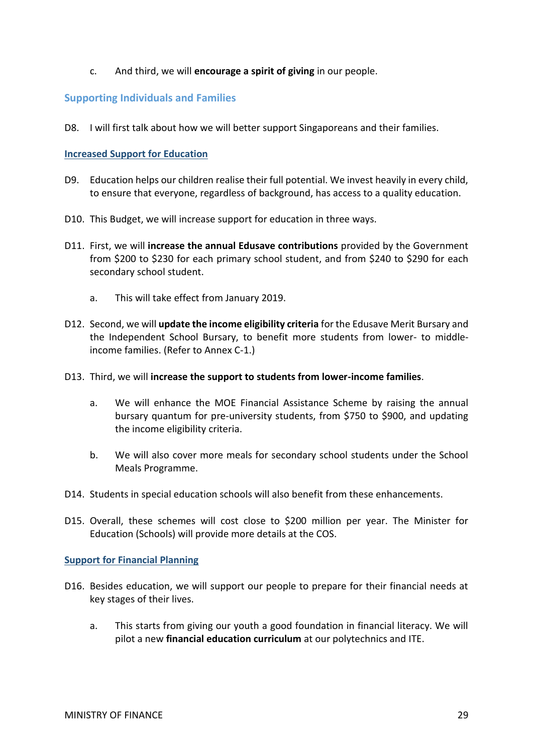## c. And third, we will **encourage a spirit of giving** in our people.

## <span id="page-28-0"></span>**Supporting Individuals and Families**

D8. I will first talk about how we will better support Singaporeans and their families.

#### <span id="page-28-1"></span>**Increased Support for Education**

- D9. Education helps our children realise their full potential. We invest heavily in every child, to ensure that everyone, regardless of background, has access to a quality education.
- D10. This Budget, we will increase support for education in three ways.
- D11. First, we will **increase the annual Edusave contributions** provided by the Government from \$200 to \$230 for each primary school student, and from \$240 to \$290 for each secondary school student.
	- a. This will take effect from January 2019.
- D12. Second, we will **update the income eligibility criteria** for the Edusave Merit Bursary and the Independent School Bursary, to benefit more students from lower- to middleincome families. (Refer to Annex C-1.)
- D13. Third, we will **increase the support to students from lower-income families**.
	- a. We will enhance the MOE Financial Assistance Scheme by raising the annual bursary quantum for pre-university students, from \$750 to \$900, and updating the income eligibility criteria.
	- b. We will also cover more meals for secondary school students under the School Meals Programme.
- D14. Students in special education schools will also benefit from these enhancements.
- D15. Overall, these schemes will cost close to \$200 million per year. The Minister for Education (Schools) will provide more details at the COS.

#### <span id="page-28-2"></span>**Support for Financial Planning**

- D16. Besides education, we will support our people to prepare for their financial needs at key stages of their lives.
	- a. This starts from giving our youth a good foundation in financial literacy. We will pilot a new **financial education curriculum** at our polytechnics and ITE.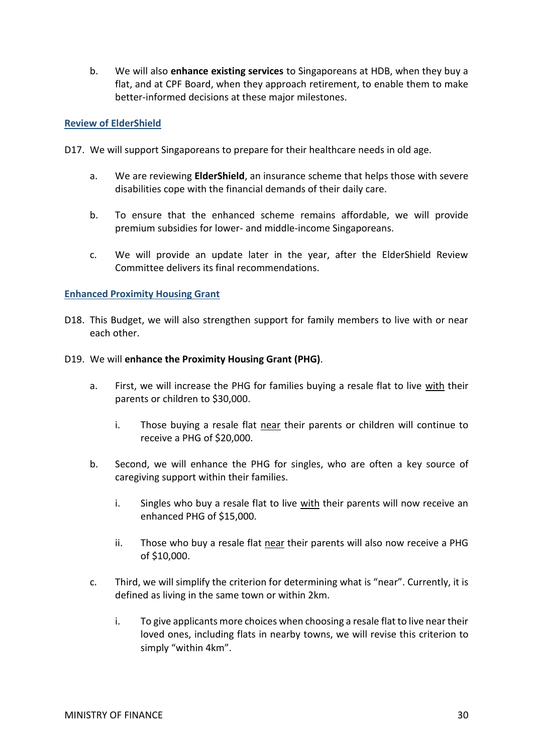b. We will also **enhance existing services** to Singaporeans at HDB, when they buy a flat, and at CPF Board, when they approach retirement, to enable them to make better-informed decisions at these major milestones.

#### <span id="page-29-0"></span>**Review of ElderShield**

- D17. We will support Singaporeans to prepare for their healthcare needs in old age.
	- a. We are reviewing **ElderShield**, an insurance scheme that helps those with severe disabilities cope with the financial demands of their daily care.
	- b. To ensure that the enhanced scheme remains affordable, we will provide premium subsidies for lower- and middle-income Singaporeans.
	- c. We will provide an update later in the year, after the ElderShield Review Committee delivers its final recommendations.

#### <span id="page-29-1"></span>**Enhanced Proximity Housing Grant**

- D18. This Budget, we will also strengthen support for family members to live with or near each other.
- D19. We will **enhance the Proximity Housing Grant (PHG)**.
	- a. First, we will increase the PHG for families buying a resale flat to live with their parents or children to \$30,000.
		- i. Those buying a resale flat near their parents or children will continue to receive a PHG of \$20,000.
	- b. Second, we will enhance the PHG for singles, who are often a key source of caregiving support within their families.
		- i. Singles who buy a resale flat to live with their parents will now receive an enhanced PHG of \$15,000.
		- ii. Those who buy a resale flat near their parents will also now receive a PHG of \$10,000.
	- c. Third, we will simplify the criterion for determining what is "near". Currently, it is defined as living in the same town or within 2km.
		- i. To give applicants more choices when choosing a resale flat to live near their loved ones, including flats in nearby towns, we will revise this criterion to simply "within 4km".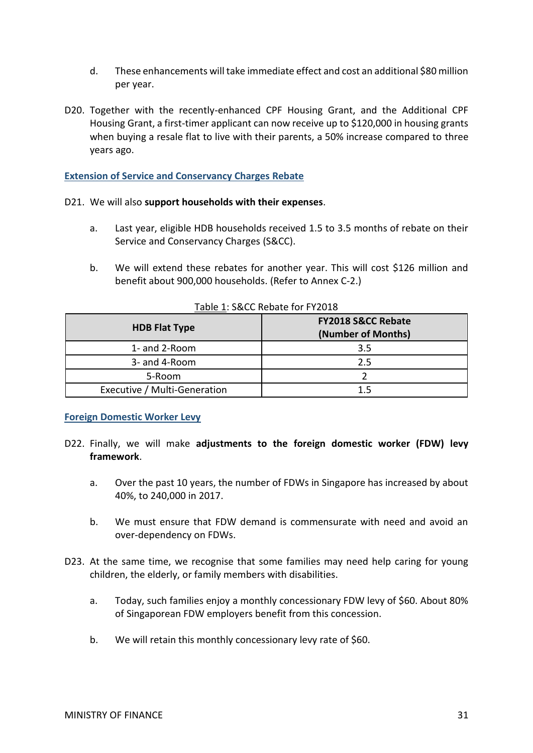- d. These enhancements will take immediate effect and cost an additional \$80 million per year.
- D20. Together with the recently-enhanced CPF Housing Grant, and the Additional CPF Housing Grant, a first-timer applicant can now receive up to \$120,000 in housing grants when buying a resale flat to live with their parents, a 50% increase compared to three years ago.

#### <span id="page-30-0"></span>**Extension of Service and Conservancy Charges Rebate**

#### D21. We will also **support households with their expenses**.

- a. Last year, eligible HDB households received 1.5 to 3.5 months of rebate on their Service and Conservancy Charges (S&CC).
- b. We will extend these rebates for another year. This will cost \$126 million and benefit about 900,000 households. (Refer to Annex C-2.)

| <b>HDB Flat Type</b>         | <b>FY2018 S&amp;CC Rebate</b><br>(Number of Months) |  |  |  |  |
|------------------------------|-----------------------------------------------------|--|--|--|--|
| 1- and 2-Room                | 3.5                                                 |  |  |  |  |
| 3- and 4-Room                | 2.5                                                 |  |  |  |  |
| 5-Room                       |                                                     |  |  |  |  |
| Executive / Multi-Generation |                                                     |  |  |  |  |

#### Table 1: S&CC Rebate for FY2018

#### <span id="page-30-1"></span>**Foreign Domestic Worker Levy**

- D22. Finally, we will make **adjustments to the foreign domestic worker (FDW) levy framework**.
	- a. Over the past 10 years, the number of FDWs in Singapore has increased by about 40%, to 240,000 in 2017.
	- b. We must ensure that FDW demand is commensurate with need and avoid an over-dependency on FDWs.
- D23. At the same time, we recognise that some families may need help caring for young children, the elderly, or family members with disabilities.
	- a. Today, such families enjoy a monthly concessionary FDW levy of \$60. About 80% of Singaporean FDW employers benefit from this concession.
	- b. We will retain this monthly concessionary levy rate of \$60.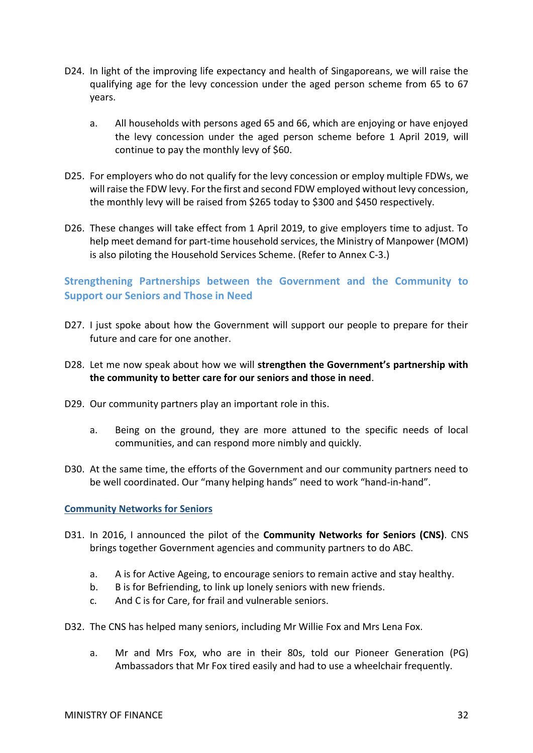- D24. In light of the improving life expectancy and health of Singaporeans, we will raise the qualifying age for the levy concession under the aged person scheme from 65 to 67 years.
	- a. All households with persons aged 65 and 66, which are enjoying or have enjoyed the levy concession under the aged person scheme before 1 April 2019, will continue to pay the monthly levy of \$60.
- D25. For employers who do not qualify for the levy concession or employ multiple FDWs, we will raise the FDW levy. For the first and second FDW employed without levy concession, the monthly levy will be raised from \$265 today to \$300 and \$450 respectively.
- D26. These changes will take effect from 1 April 2019, to give employers time to adjust. To help meet demand for part-time household services, the Ministry of Manpower (MOM) is also piloting the Household Services Scheme. (Refer to Annex C-3.)

# <span id="page-31-0"></span>**Strengthening Partnerships between the Government and the Community to Support our Seniors and Those in Need**

- D27. I just spoke about how the Government will support our people to prepare for their future and care for one another.
- D28. Let me now speak about how we will **strengthen the Government's partnership with the community to better care for our seniors and those in need**.
- D29. Our community partners play an important role in this.
	- a. Being on the ground, they are more attuned to the specific needs of local communities, and can respond more nimbly and quickly.
- D30. At the same time, the efforts of the Government and our community partners need to be well coordinated. Our "many helping hands" need to work "hand-in-hand".

#### <span id="page-31-1"></span>**Community Networks for Seniors**

- D31. In 2016, I announced the pilot of the **Community Networks for Seniors (CNS)**. CNS brings together Government agencies and community partners to do ABC.
	- a. A is for Active Ageing, to encourage seniors to remain active and stay healthy.
	- b. B is for Befriending, to link up lonely seniors with new friends.
	- c. And C is for Care, for frail and vulnerable seniors.
- D32. The CNS has helped many seniors, including Mr Willie Fox and Mrs Lena Fox.
	- a. Mr and Mrs Fox, who are in their 80s, told our Pioneer Generation (PG) Ambassadors that Mr Fox tired easily and had to use a wheelchair frequently.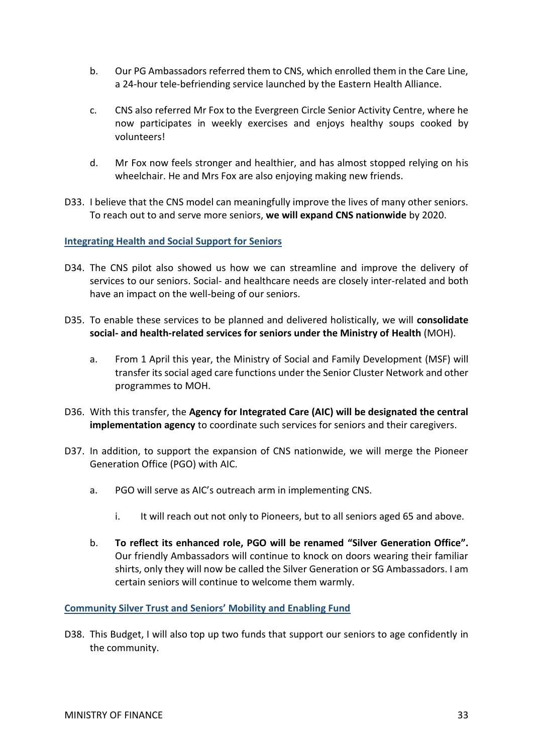- b. Our PG Ambassadors referred them to CNS, which enrolled them in the Care Line, a 24-hour tele-befriending service launched by the Eastern Health Alliance.
- c. CNS also referred Mr Fox to the Evergreen Circle Senior Activity Centre, where he now participates in weekly exercises and enjoys healthy soups cooked by volunteers!
- d. Mr Fox now feels stronger and healthier, and has almost stopped relying on his wheelchair. He and Mrs Fox are also enjoying making new friends.
- D33. I believe that the CNS model can meaningfully improve the lives of many other seniors. To reach out to and serve more seniors, **we will expand CNS nationwide** by 2020.

<span id="page-32-0"></span>**Integrating Health and Social Support for Seniors**

- D34. The CNS pilot also showed us how we can streamline and improve the delivery of services to our seniors. Social- and healthcare needs are closely inter-related and both have an impact on the well-being of our seniors.
- D35. To enable these services to be planned and delivered holistically, we will **consolidate social- and health-related services for seniors under the Ministry of Health** (MOH).
	- a. From 1 April this year, the Ministry of Social and Family Development (MSF) will transfer its social aged care functions under the Senior Cluster Network and other programmes to MOH.
- D36. With this transfer, the **Agency for Integrated Care (AIC) will be designated the central implementation agency** to coordinate such services for seniors and their caregivers.
- D37. In addition, to support the expansion of CNS nationwide, we will merge the Pioneer Generation Office (PGO) with AIC.
	- a. PGO will serve as AIC's outreach arm in implementing CNS.
		- i. It will reach out not only to Pioneers, but to all seniors aged 65 and above.
	- b. **To reflect its enhanced role, PGO will be renamed "Silver Generation Office".**  Our friendly Ambassadors will continue to knock on doors wearing their familiar shirts, only they will now be called the Silver Generation or SG Ambassadors. I am certain seniors will continue to welcome them warmly.

<span id="page-32-1"></span>**Community Silver Trust and Seniors' Mobility and Enabling Fund**

D38. This Budget, I will also top up two funds that support our seniors to age confidently in the community.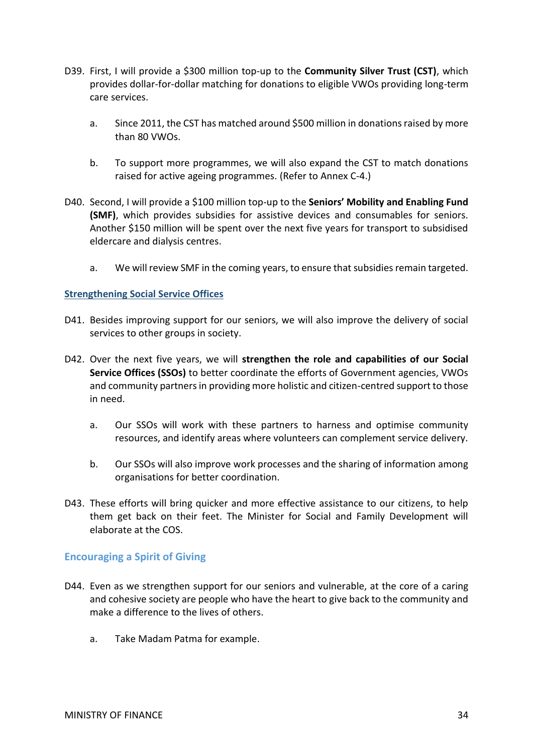- D39. First, I will provide a \$300 million top-up to the **Community Silver Trust (CST)**, which provides dollar-for-dollar matching for donations to eligible VWOs providing long-term care services.
	- a. Since 2011, the CST has matched around \$500 million in donations raised by more than 80 VWOs.
	- b. To support more programmes, we will also expand the CST to match donations raised for active ageing programmes. (Refer to Annex C-4.)
- D40. Second, I will provide a \$100 million top-up to the **Seniors' Mobility and Enabling Fund (SMF)**, which provides subsidies for assistive devices and consumables for seniors. Another \$150 million will be spent over the next five years for transport to subsidised eldercare and dialysis centres.
	- a. We will review SMF in the coming years, to ensure that subsidies remain targeted.

#### <span id="page-33-0"></span>**Strengthening Social Service Offices**

- D41. Besides improving support for our seniors, we will also improve the delivery of social services to other groups in society.
- D42. Over the next five years, we will **strengthen the role and capabilities of our Social Service Offices (SSOs)** to better coordinate the efforts of Government agencies, VWOs and community partners in providing more holistic and citizen-centred support to those in need.
	- a. Our SSOs will work with these partners to harness and optimise community resources, and identify areas where volunteers can complement service delivery.
	- b. Our SSOs will also improve work processes and the sharing of information among organisations for better coordination.
- D43. These efforts will bring quicker and more effective assistance to our citizens, to help them get back on their feet. The Minister for Social and Family Development will elaborate at the COS.

#### <span id="page-33-1"></span>**Encouraging a Spirit of Giving**

- D44. Even as we strengthen support for our seniors and vulnerable, at the core of a caring and cohesive society are people who have the heart to give back to the community and make a difference to the lives of others.
	- a. Take Madam Patma for example.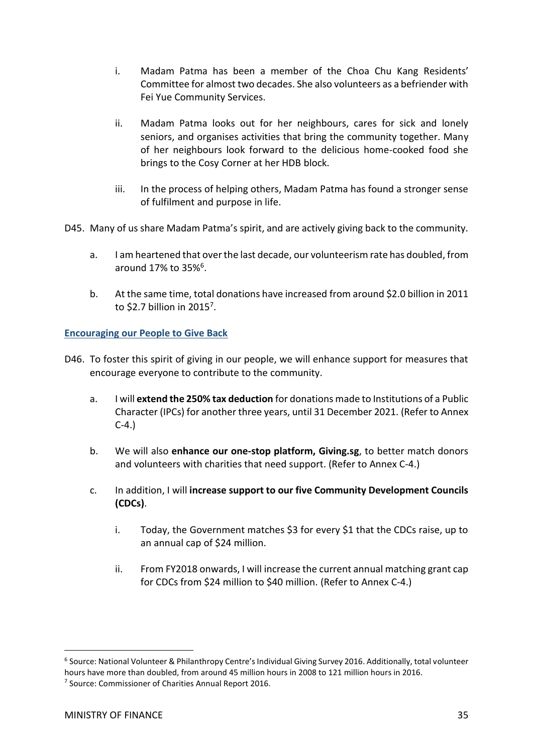- i. Madam Patma has been a member of the Choa Chu Kang Residents' Committee for almost two decades. She also volunteers as a befriender with Fei Yue Community Services.
- ii. Madam Patma looks out for her neighbours, cares for sick and lonely seniors, and organises activities that bring the community together. Many of her neighbours look forward to the delicious home-cooked food she brings to the Cosy Corner at her HDB block.
- iii. In the process of helping others, Madam Patma has found a stronger sense of fulfilment and purpose in life.
- D45. Many of us share Madam Patma's spirit, and are actively giving back to the community.
	- a. I am heartened that over the last decade, our volunteerism rate has doubled, from around 17% to 35%<sup>6</sup>.
	- b. At the same time, total donations have increased from around \$2.0 billion in 2011 to \$2.7 billion in 2015<sup>7</sup>.

## <span id="page-34-0"></span>**Encouraging our People to Give Back**

- D46. To foster this spirit of giving in our people, we will enhance support for measures that encourage everyone to contribute to the community.
	- a. I will **extend the 250% tax deduction** for donations made to Institutions of a Public Character (IPCs) for another three years, until 31 December 2021. (Refer to Annex C-4.)
	- b. We will also **enhance our one-stop platform, Giving.sg**, to better match donors and volunteers with charities that need support. (Refer to Annex C-4.)
	- c. In addition, I will **increase support to our five Community Development Councils (CDCs)**.
		- i. Today, the Government matches \$3 for every \$1 that the CDCs raise, up to an annual cap of \$24 million.
		- ii. From FY2018 onwards, I will increase the current annual matching grant cap for CDCs from \$24 million to \$40 million. (Refer to Annex C-4.)

 $\overline{a}$ 

<sup>6</sup> Source: National Volunteer & Philanthropy Centre's Individual Giving Survey 2016. Additionally, total volunteer hours have more than doubled, from around 45 million hours in 2008 to 121 million hours in 2016.

<sup>&</sup>lt;sup>7</sup> Source: Commissioner of Charities Annual Report 2016.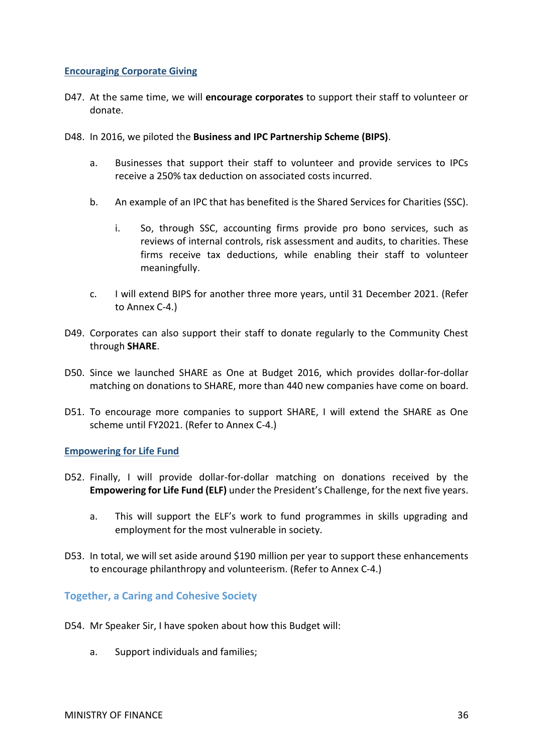#### <span id="page-35-0"></span>**Encouraging Corporate Giving**

- D47. At the same time, we will **encourage corporates** to support their staff to volunteer or donate.
- D48. In 2016, we piloted the **Business and IPC Partnership Scheme (BIPS)**.
	- a. Businesses that support their staff to volunteer and provide services to IPCs receive a 250% tax deduction on associated costs incurred.
	- b. An example of an IPC that has benefited is the Shared Services for Charities (SSC).
		- i. So, through SSC, accounting firms provide pro bono services, such as reviews of internal controls, risk assessment and audits, to charities. These firms receive tax deductions, while enabling their staff to volunteer meaningfully.
	- c. I will extend BIPS for another three more years, until 31 December 2021. (Refer to Annex C-4.)
- D49. Corporates can also support their staff to donate regularly to the Community Chest through **SHARE**.
- D50. Since we launched SHARE as One at Budget 2016, which provides dollar-for-dollar matching on donations to SHARE, more than 440 new companies have come on board.
- D51. To encourage more companies to support SHARE, I will extend the SHARE as One scheme until FY2021. (Refer to Annex C-4.)

#### <span id="page-35-1"></span>**Empowering for Life Fund**

- D52. Finally, I will provide dollar-for-dollar matching on donations received by the **Empowering for Life Fund (ELF)** under the President's Challenge, for the next five years.
	- a. This will support the ELF's work to fund programmes in skills upgrading and employment for the most vulnerable in society.
- D53. In total, we will set aside around \$190 million per year to support these enhancements to encourage philanthropy and volunteerism. (Refer to Annex C-4.)

<span id="page-35-2"></span>**Together, a Caring and Cohesive Society**

- D54. Mr Speaker Sir, I have spoken about how this Budget will:
	- a. Support individuals and families;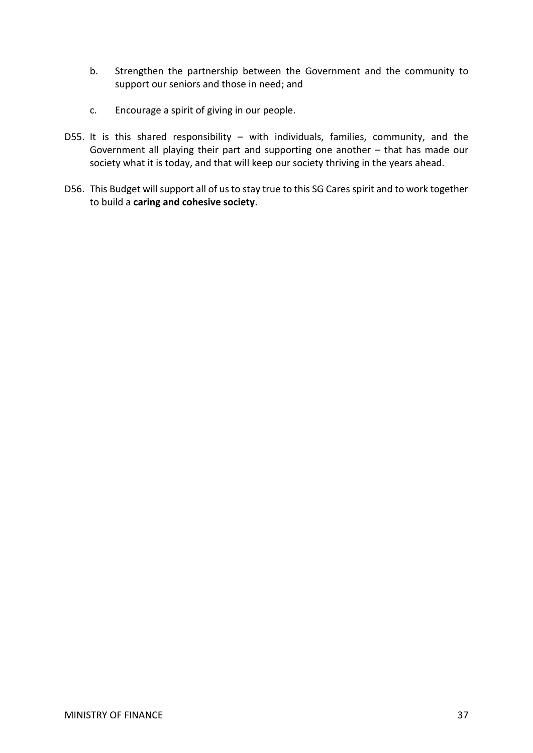- b. Strengthen the partnership between the Government and the community to support our seniors and those in need; and
- c. Encourage a spirit of giving in our people.
- D55. It is this shared responsibility with individuals, families, community, and the Government all playing their part and supporting one another – that has made our society what it is today, and that will keep our society thriving in the years ahead.
- D56. This Budget will support all of us to stay true to this SG Cares spirit and to work together to build a **caring and cohesive society**.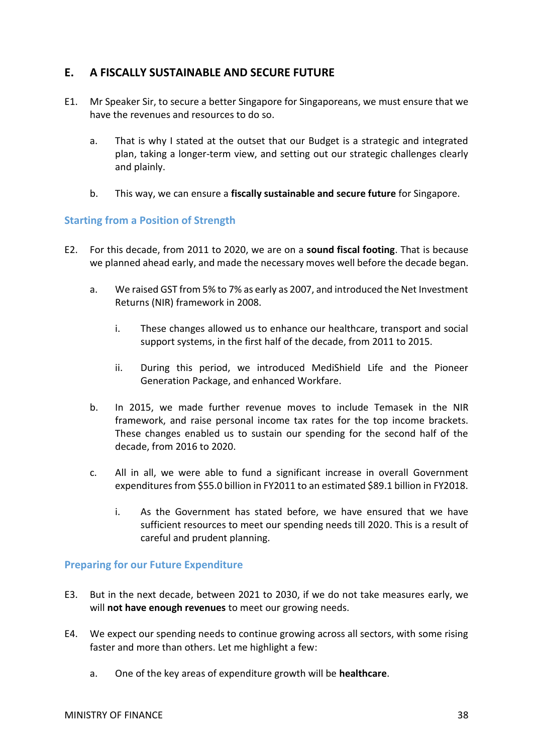# <span id="page-37-0"></span>**E. A FISCALLY SUSTAINABLE AND SECURE FUTURE**

- E1. Mr Speaker Sir, to secure a better Singapore for Singaporeans, we must ensure that we have the revenues and resources to do so.
	- a. That is why I stated at the outset that our Budget is a strategic and integrated plan, taking a longer-term view, and setting out our strategic challenges clearly and plainly.
	- b. This way, we can ensure a **fiscally sustainable and secure future** for Singapore.

## <span id="page-37-1"></span>**Starting from a Position of Strength**

- E2. For this decade, from 2011 to 2020, we are on a **sound fiscal footing**. That is because we planned ahead early, and made the necessary moves well before the decade began.
	- a. We raised GST from 5% to 7% as early as 2007, and introduced the Net Investment Returns (NIR) framework in 2008.
		- i. These changes allowed us to enhance our healthcare, transport and social support systems, in the first half of the decade, from 2011 to 2015.
		- ii. During this period, we introduced MediShield Life and the Pioneer Generation Package, and enhanced Workfare.
	- b. In 2015, we made further revenue moves to include Temasek in the NIR framework, and raise personal income tax rates for the top income brackets. These changes enabled us to sustain our spending for the second half of the decade, from 2016 to 2020.
	- c. All in all, we were able to fund a significant increase in overall Government expenditures from \$55.0 billion in FY2011 to an estimated \$89.1 billion in FY2018.
		- i. As the Government has stated before, we have ensured that we have sufficient resources to meet our spending needs till 2020. This is a result of careful and prudent planning.

## <span id="page-37-2"></span>**Preparing for our Future Expenditure**

- E3. But in the next decade, between 2021 to 2030, if we do not take measures early, we will **not have enough revenues** to meet our growing needs.
- E4. We expect our spending needs to continue growing across all sectors, with some rising faster and more than others. Let me highlight a few:
	- a. One of the key areas of expenditure growth will be **healthcare**.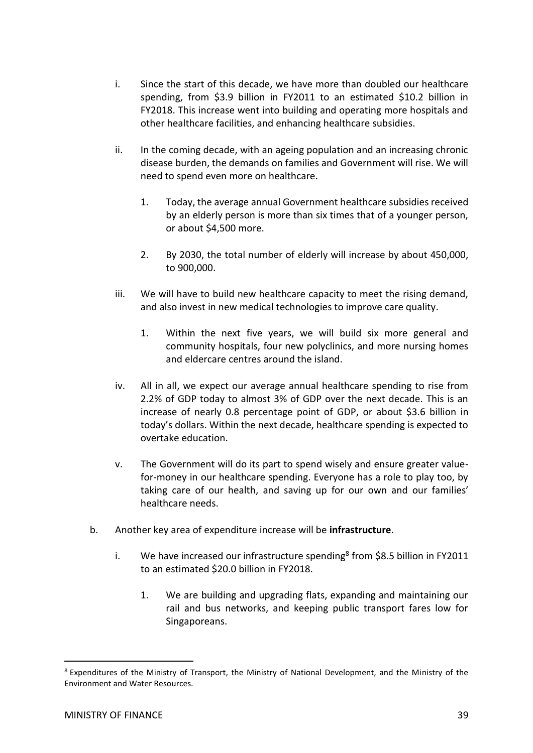- i. Since the start of this decade, we have more than doubled our healthcare spending, from \$3.9 billion in FY2011 to an estimated \$10.2 billion in FY2018. This increase went into building and operating more hospitals and other healthcare facilities, and enhancing healthcare subsidies.
- ii. In the coming decade, with an ageing population and an increasing chronic disease burden, the demands on families and Government will rise. We will need to spend even more on healthcare.
	- 1. Today, the average annual Government healthcare subsidies received by an elderly person is more than six times that of a younger person, or about \$4,500 more.
	- 2. By 2030, the total number of elderly will increase by about 450,000, to 900,000.
- iii. We will have to build new healthcare capacity to meet the rising demand, and also invest in new medical technologies to improve care quality.
	- 1. Within the next five years, we will build six more general and community hospitals, four new polyclinics, and more nursing homes and eldercare centres around the island.
- iv. All in all, we expect our average annual healthcare spending to rise from 2.2% of GDP today to almost 3% of GDP over the next decade. This is an increase of nearly 0.8 percentage point of GDP, or about \$3.6 billion in today's dollars. Within the next decade, healthcare spending is expected to overtake education.
- v. The Government will do its part to spend wisely and ensure greater valuefor-money in our healthcare spending. Everyone has a role to play too, by taking care of our health, and saving up for our own and our families' healthcare needs.
- b. Another key area of expenditure increase will be **infrastructure**.
	- i. We have increased our infrastructure spending<sup>8</sup> from \$8.5 billion in FY2011 to an estimated \$20.0 billion in FY2018.
		- 1. We are building and upgrading flats, expanding and maintaining our rail and bus networks, and keeping public transport fares low for Singaporeans.

-

<sup>8</sup> Expenditures of the Ministry of Transport, the Ministry of National Development, and the Ministry of the Environment and Water Resources.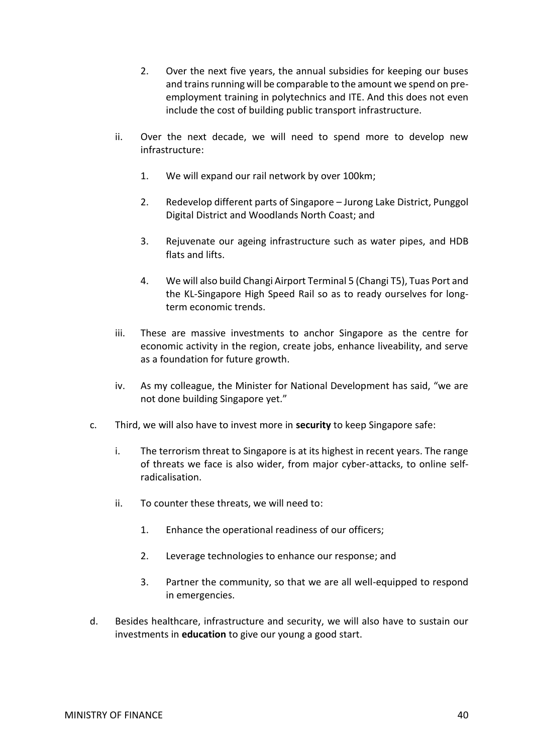- 2. Over the next five years, the annual subsidies for keeping our buses and trains running will be comparable to the amount we spend on preemployment training in polytechnics and ITE. And this does not even include the cost of building public transport infrastructure.
- ii. Over the next decade, we will need to spend more to develop new infrastructure:
	- 1. We will expand our rail network by over 100km;
	- 2. Redevelop different parts of Singapore Jurong Lake District, Punggol Digital District and Woodlands North Coast; and
	- 3. Rejuvenate our ageing infrastructure such as water pipes, and HDB flats and lifts.
	- 4. We will also build Changi Airport Terminal 5 (Changi T5), Tuas Port and the KL-Singapore High Speed Rail so as to ready ourselves for longterm economic trends.
- iii. These are massive investments to anchor Singapore as the centre for economic activity in the region, create jobs, enhance liveability, and serve as a foundation for future growth.
- iv. As my colleague, the Minister for National Development has said, "we are not done building Singapore yet."
- c. Third, we will also have to invest more in **security** to keep Singapore safe:
	- i. The terrorism threat to Singapore is at its highest in recent years. The range of threats we face is also wider, from major cyber-attacks, to online selfradicalisation.
	- ii. To counter these threats, we will need to:
		- 1. Enhance the operational readiness of our officers;
		- 2. Leverage technologies to enhance our response; and
		- 3. Partner the community, so that we are all well-equipped to respond in emergencies.
- d. Besides healthcare, infrastructure and security, we will also have to sustain our investments in **education** to give our young a good start.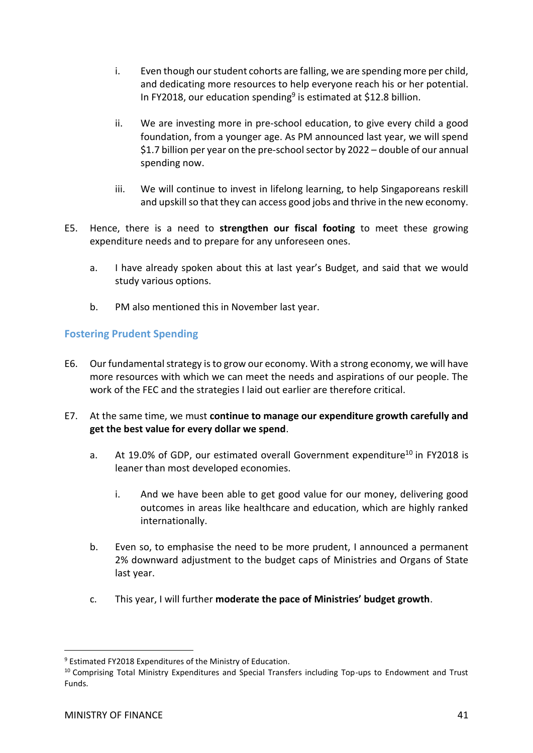- i. Even though our student cohorts are falling, we are spending more per child, and dedicating more resources to help everyone reach his or her potential. In FY2018, our education spending<sup>9</sup> is estimated at \$12.8 billion.
- ii. We are investing more in pre-school education, to give every child a good foundation, from a younger age. As PM announced last year, we will spend \$1.7 billion per year on the pre-school sector by 2022 – double of our annual spending now.
- iii. We will continue to invest in lifelong learning, to help Singaporeans reskill and upskill so that they can access good jobs and thrive in the new economy.
- E5. Hence, there is a need to **strengthen our fiscal footing** to meet these growing expenditure needs and to prepare for any unforeseen ones.
	- a. I have already spoken about this at last year's Budget, and said that we would study various options.
	- b. PM also mentioned this in November last year.

## <span id="page-40-0"></span>**Fostering Prudent Spending**

- E6. Our fundamental strategy is to grow our economy. With a strong economy, we will have more resources with which we can meet the needs and aspirations of our people. The work of the FEC and the strategies I laid out earlier are therefore critical.
- E7. At the same time, we must **continue to manage our expenditure growth carefully and get the best value for every dollar we spend**.
	- a. At 19.0% of GDP, our estimated overall Government expenditure<sup>10</sup> in FY2018 is leaner than most developed economies.
		- i. And we have been able to get good value for our money, delivering good outcomes in areas like healthcare and education, which are highly ranked internationally.
	- b. Even so, to emphasise the need to be more prudent, I announced a permanent 2% downward adjustment to the budget caps of Ministries and Organs of State last year.
	- c. This year, I will further **moderate the pace of Ministries' budget growth**.

 $\overline{a}$ 

<sup>9</sup> Estimated FY2018 Expenditures of the Ministry of Education.

<sup>&</sup>lt;sup>10</sup> Comprising Total Ministry Expenditures and Special Transfers including Top-ups to Endowment and Trust Funds.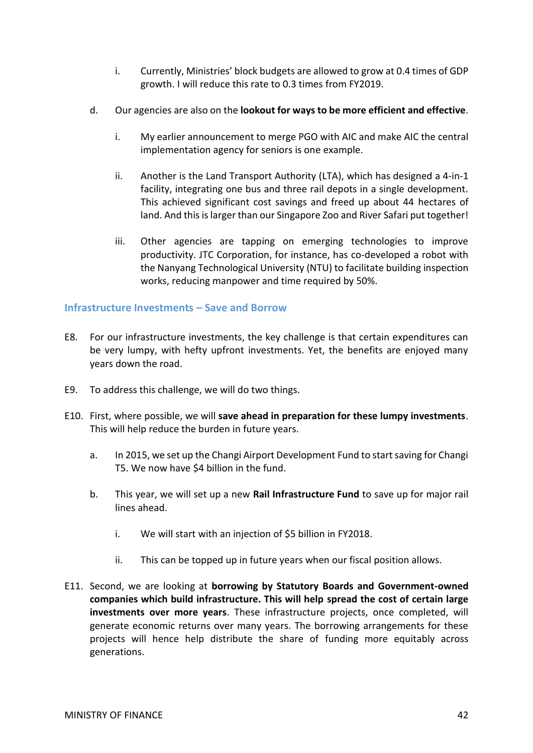- i. Currently, Ministries' block budgets are allowed to grow at 0.4 times of GDP growth. I will reduce this rate to 0.3 times from FY2019.
- d. Our agencies are also on the **lookout for ways to be more efficient and effective**.
	- i. My earlier announcement to merge PGO with AIC and make AIC the central implementation agency for seniors is one example.
	- ii. Another is the Land Transport Authority (LTA), which has designed a 4-in-1 facility, integrating one bus and three rail depots in a single development. This achieved significant cost savings and freed up about 44 hectares of land. And this is larger than our Singapore Zoo and River Safari put together!
	- iii. Other agencies are tapping on emerging technologies to improve productivity. JTC Corporation, for instance, has co-developed a robot with the Nanyang Technological University (NTU) to facilitate building inspection works, reducing manpower and time required by 50%.

## <span id="page-41-0"></span>**Infrastructure Investments – Save and Borrow**

- E8. For our infrastructure investments, the key challenge is that certain expenditures can be very lumpy, with hefty upfront investments. Yet, the benefits are enjoyed many years down the road.
- E9. To address this challenge, we will do two things.
- E10. First, where possible, we will **save ahead in preparation for these lumpy investments**. This will help reduce the burden in future years.
	- a. In 2015, we set up the Changi Airport Development Fund to start saving for Changi T5. We now have \$4 billion in the fund.
	- b. This year, we will set up a new **Rail Infrastructure Fund** to save up for major rail lines ahead.
		- i. We will start with an injection of \$5 billion in FY2018.
		- ii. This can be topped up in future years when our fiscal position allows.
- E11. Second, we are looking at **borrowing by Statutory Boards and Government-owned companies which build infrastructure. This will help spread the cost of certain large investments over more years**. These infrastructure projects, once completed, will generate economic returns over many years. The borrowing arrangements for these projects will hence help distribute the share of funding more equitably across generations.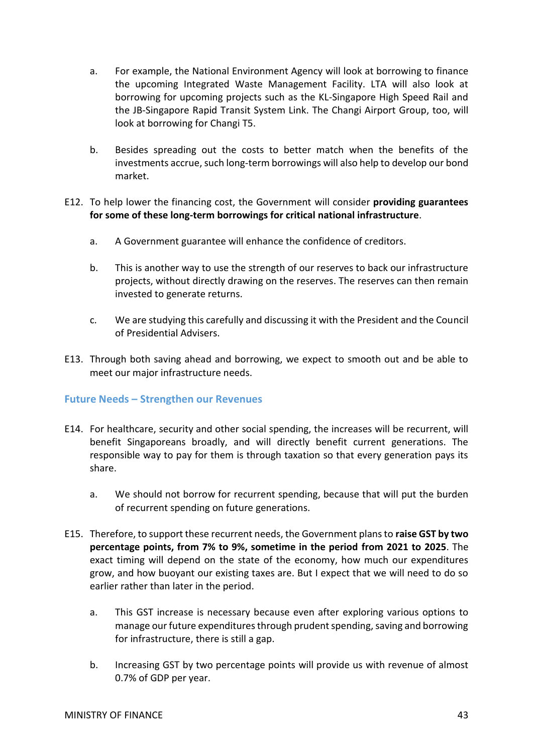- a. For example, the National Environment Agency will look at borrowing to finance the upcoming Integrated Waste Management Facility. LTA will also look at borrowing for upcoming projects such as the KL-Singapore High Speed Rail and the JB-Singapore Rapid Transit System Link. The Changi Airport Group, too, will look at borrowing for Changi T5.
- b. Besides spreading out the costs to better match when the benefits of the investments accrue, such long-term borrowings will also help to develop our bond market.
- E12. To help lower the financing cost, the Government will consider **providing guarantees for some of these long-term borrowings for critical national infrastructure**.
	- a. A Government guarantee will enhance the confidence of creditors.
	- b. This is another way to use the strength of our reserves to back our infrastructure projects, without directly drawing on the reserves. The reserves can then remain invested to generate returns.
	- c. We are studying this carefully and discussing it with the President and the Council of Presidential Advisers.
- E13. Through both saving ahead and borrowing, we expect to smooth out and be able to meet our major infrastructure needs.

## <span id="page-42-0"></span>**Future Needs – Strengthen our Revenues**

- E14. For healthcare, security and other social spending, the increases will be recurrent, will benefit Singaporeans broadly, and will directly benefit current generations. The responsible way to pay for them is through taxation so that every generation pays its share.
	- a. We should not borrow for recurrent spending, because that will put the burden of recurrent spending on future generations.
- E15. Therefore, to support these recurrent needs, the Government plans to **raise GST by two percentage points, from 7% to 9%, sometime in the period from 2021 to 2025**. The exact timing will depend on the state of the economy, how much our expenditures grow, and how buoyant our existing taxes are. But I expect that we will need to do so earlier rather than later in the period.
	- a. This GST increase is necessary because even after exploring various options to manage our future expenditures through prudent spending, saving and borrowing for infrastructure, there is still a gap.
	- b. Increasing GST by two percentage points will provide us with revenue of almost 0.7% of GDP per year.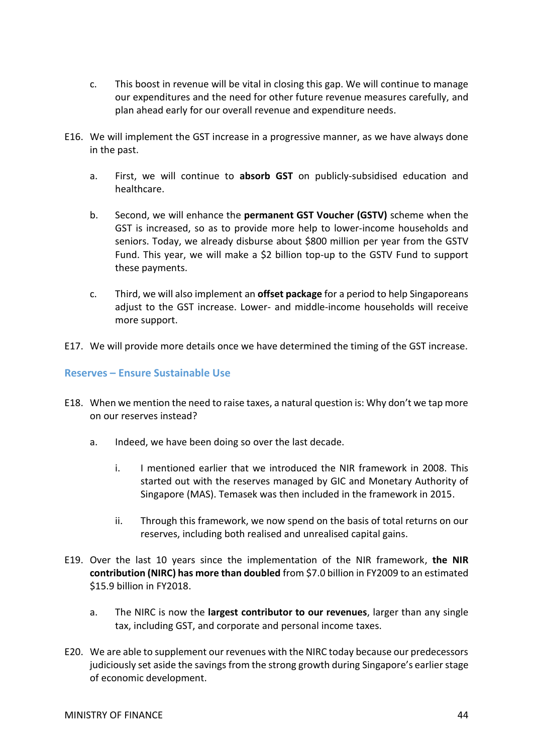- c. This boost in revenue will be vital in closing this gap. We will continue to manage our expenditures and the need for other future revenue measures carefully, and plan ahead early for our overall revenue and expenditure needs.
- E16. We will implement the GST increase in a progressive manner, as we have always done in the past.
	- a. First, we will continue to **absorb GST** on publicly-subsidised education and healthcare.
	- b. Second, we will enhance the **permanent GST Voucher (GSTV)** scheme when the GST is increased, so as to provide more help to lower-income households and seniors. Today, we already disburse about \$800 million per year from the GSTV Fund. This year, we will make a \$2 billion top-up to the GSTV Fund to support these payments.
	- c. Third, we will also implement an **offset package** for a period to help Singaporeans adjust to the GST increase. Lower- and middle-income households will receive more support.
- E17. We will provide more details once we have determined the timing of the GST increase.

## <span id="page-43-0"></span>**Reserves – Ensure Sustainable Use**

- E18. When we mention the need to raise taxes, a natural question is: Why don't we tap more on our reserves instead?
	- a. Indeed, we have been doing so over the last decade.
		- i. I mentioned earlier that we introduced the NIR framework in 2008. This started out with the reserves managed by GIC and Monetary Authority of Singapore (MAS). Temasek was then included in the framework in 2015.
		- ii. Through this framework, we now spend on the basis of total returns on our reserves, including both realised and unrealised capital gains.
- E19. Over the last 10 years since the implementation of the NIR framework, **the NIR contribution (NIRC) has more than doubled** from \$7.0 billion in FY2009 to an estimated \$15.9 billion in FY2018.
	- a. The NIRC is now the **largest contributor to our revenues**, larger than any single tax, including GST, and corporate and personal income taxes.
- E20. We are able to supplement our revenues with the NIRC today because our predecessors judiciously set aside the savings from the strong growth during Singapore's earlier stage of economic development.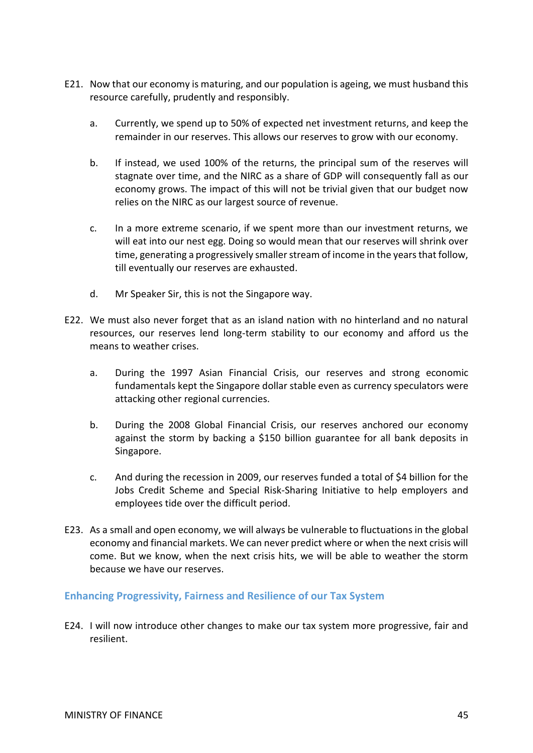- E21. Now that our economy is maturing, and our population is ageing, we must husband this resource carefully, prudently and responsibly.
	- a. Currently, we spend up to 50% of expected net investment returns, and keep the remainder in our reserves. This allows our reserves to grow with our economy.
	- b. If instead, we used 100% of the returns, the principal sum of the reserves will stagnate over time, and the NIRC as a share of GDP will consequently fall as our economy grows. The impact of this will not be trivial given that our budget now relies on the NIRC as our largest source of revenue.
	- c. In a more extreme scenario, if we spent more than our investment returns, we will eat into our nest egg. Doing so would mean that our reserves will shrink over time, generating a progressively smaller stream of income in the years that follow, till eventually our reserves are exhausted.
	- d. Mr Speaker Sir, this is not the Singapore way.
- E22. We must also never forget that as an island nation with no hinterland and no natural resources, our reserves lend long-term stability to our economy and afford us the means to weather crises.
	- a. During the 1997 Asian Financial Crisis, our reserves and strong economic fundamentals kept the Singapore dollar stable even as currency speculators were attacking other regional currencies.
	- b. During the 2008 Global Financial Crisis, our reserves anchored our economy against the storm by backing a \$150 billion guarantee for all bank deposits in Singapore.
	- c. And during the recession in 2009, our reserves funded a total of \$4 billion for the Jobs Credit Scheme and Special Risk-Sharing Initiative to help employers and employees tide over the difficult period.
- E23. As a small and open economy, we will always be vulnerable to fluctuations in the global economy and financial markets. We can never predict where or when the next crisis will come. But we know, when the next crisis hits, we will be able to weather the storm because we have our reserves.

#### <span id="page-44-0"></span>**Enhancing Progressivity, Fairness and Resilience of our Tax System**

E24. I will now introduce other changes to make our tax system more progressive, fair and resilient.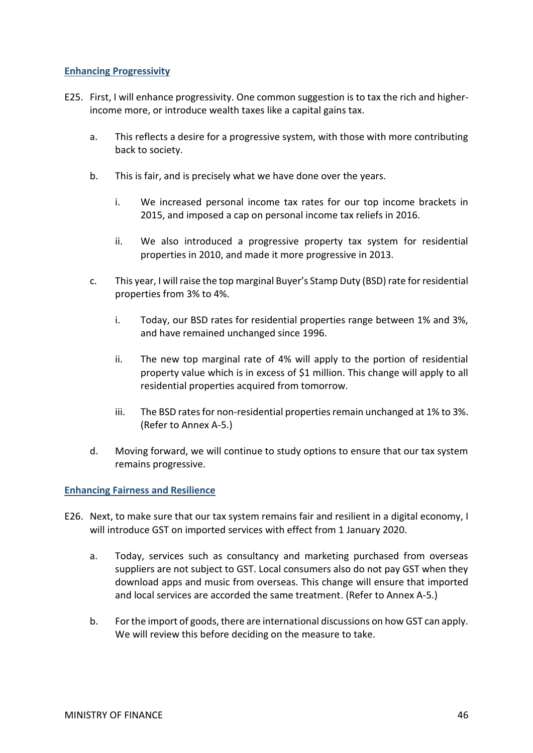## <span id="page-45-0"></span>**Enhancing Progressivity**

- E25. First, I will enhance progressivity. One common suggestion is to tax the rich and higherincome more, or introduce wealth taxes like a capital gains tax.
	- a. This reflects a desire for a progressive system, with those with more contributing back to society.
	- b. This is fair, and is precisely what we have done over the years.
		- i. We increased personal income tax rates for our top income brackets in 2015, and imposed a cap on personal income tax reliefs in 2016.
		- ii. We also introduced a progressive property tax system for residential properties in 2010, and made it more progressive in 2013.
	- c. This year, I will raise the top marginal Buyer's Stamp Duty (BSD) rate for residential properties from 3% to 4%.
		- i. Today, our BSD rates for residential properties range between 1% and 3%, and have remained unchanged since 1996.
		- ii. The new top marginal rate of 4% will apply to the portion of residential property value which is in excess of \$1 million. This change will apply to all residential properties acquired from tomorrow.
		- iii. The BSD rates for non-residential properties remain unchanged at 1% to 3%. (Refer to Annex A-5.)
	- d. Moving forward, we will continue to study options to ensure that our tax system remains progressive.

#### <span id="page-45-1"></span>**Enhancing Fairness and Resilience**

- E26. Next, to make sure that our tax system remains fair and resilient in a digital economy, I will introduce GST on imported services with effect from 1 January 2020.
	- a. Today, services such as consultancy and marketing purchased from overseas suppliers are not subject to GST. Local consumers also do not pay GST when they download apps and music from overseas. This change will ensure that imported and local services are accorded the same treatment. (Refer to Annex A-5.)
	- b. For the import of goods, there are international discussions on how GST can apply. We will review this before deciding on the measure to take.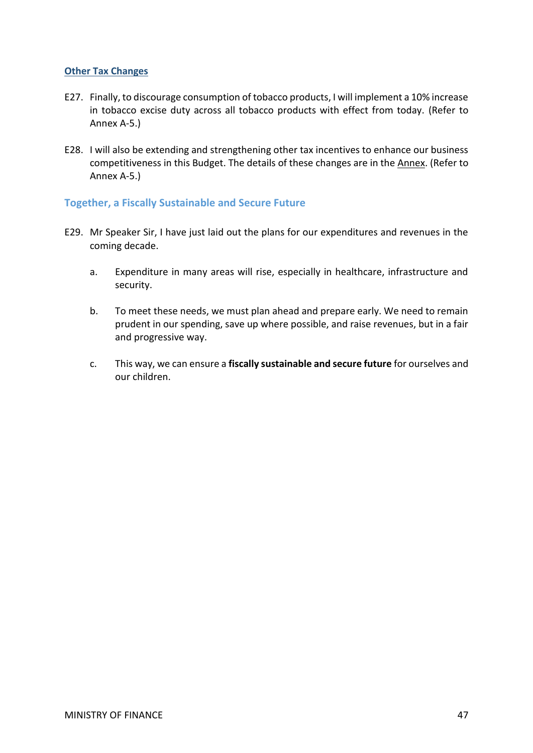## <span id="page-46-0"></span>**Other Tax Changes**

- E27. Finally, to discourage consumption of tobacco products, I will implement a 10% increase in tobacco excise duty across all tobacco products with effect from today. (Refer to Annex A-5.)
- E28. I will also be extending and strengthening other tax incentives to enhance our business competitiveness in this Budget. The details of these changes are in the Annex. (Refer to Annex A-5.)

## <span id="page-46-1"></span>**Together, a Fiscally Sustainable and Secure Future**

- E29. Mr Speaker Sir, I have just laid out the plans for our expenditures and revenues in the coming decade.
	- a. Expenditure in many areas will rise, especially in healthcare, infrastructure and security.
	- b. To meet these needs, we must plan ahead and prepare early. We need to remain prudent in our spending, save up where possible, and raise revenues, but in a fair and progressive way.
	- c. This way, we can ensure a **fiscally sustainable and secure future** for ourselves and our children.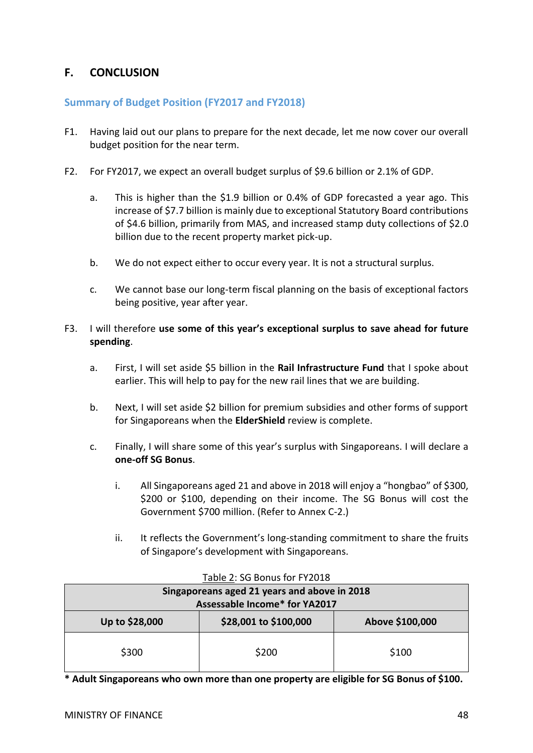# <span id="page-47-0"></span>**F. CONCLUSION**

## <span id="page-47-1"></span>**Summary of Budget Position (FY2017 and FY2018)**

- F1. Having laid out our plans to prepare for the next decade, let me now cover our overall budget position for the near term.
- F2. For FY2017, we expect an overall budget surplus of \$9.6 billion or 2.1% of GDP.
	- a. This is higher than the \$1.9 billion or 0.4% of GDP forecasted a year ago. This increase of \$7.7 billion is mainly due to exceptional Statutory Board contributions of \$4.6 billion, primarily from MAS, and increased stamp duty collections of \$2.0 billion due to the recent property market pick-up.
	- b. We do not expect either to occur every year. It is not a structural surplus.
	- c. We cannot base our long-term fiscal planning on the basis of exceptional factors being positive, year after year.
- F3. I will therefore **use some of this year's exceptional surplus to save ahead for future spending**.
	- a. First, I will set aside \$5 billion in the **Rail Infrastructure Fund** that I spoke about earlier. This will help to pay for the new rail lines that we are building.
	- b. Next, I will set aside \$2 billion for premium subsidies and other forms of support for Singaporeans when the **ElderShield** review is complete.
	- c. Finally, I will share some of this year's surplus with Singaporeans. I will declare a **one-off SG Bonus**.
		- i. All Singaporeans aged 21 and above in 2018 will enjoy a "hongbao" of \$300, \$200 or \$100, depending on their income. The SG Bonus will cost the Government \$700 million. (Refer to Annex C-2.)
		- ii. It reflects the Government's long-standing commitment to share the fruits of Singapore's development with Singaporeans.

| Singaporeans aged 21 years and above in 2018<br>Assessable Income* for YA2017 |                       |                 |  |  |  |
|-------------------------------------------------------------------------------|-----------------------|-----------------|--|--|--|
| Up to \$28,000                                                                | \$28,001 to \$100,000 | Above \$100,000 |  |  |  |
| \$300                                                                         | \$200                 | \$100           |  |  |  |

#### Table 2: SG Bonus for FY2018

**\* Adult Singaporeans who own more than one property are eligible for SG Bonus of \$100.**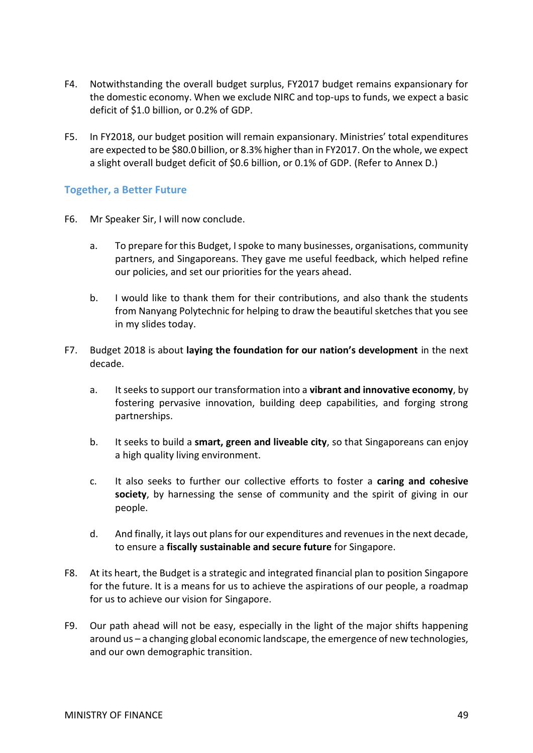- F4. Notwithstanding the overall budget surplus, FY2017 budget remains expansionary for the domestic economy. When we exclude NIRC and top-ups to funds, we expect a basic deficit of \$1.0 billion, or 0.2% of GDP.
- F5. In FY2018, our budget position will remain expansionary. Ministries' total expenditures are expected to be \$80.0 billion, or 8.3% higher than in FY2017. On the whole, we expect a slight overall budget deficit of \$0.6 billion, or 0.1% of GDP. (Refer to Annex D.)

## <span id="page-48-0"></span>**Together, a Better Future**

- F6. Mr Speaker Sir, I will now conclude.
	- a. To prepare for this Budget, I spoke to many businesses, organisations, community partners, and Singaporeans. They gave me useful feedback, which helped refine our policies, and set our priorities for the years ahead.
	- b. I would like to thank them for their contributions, and also thank the students from Nanyang Polytechnic for helping to draw the beautiful sketches that you see in my slides today.
- F7. Budget 2018 is about **laying the foundation for our nation's development** in the next decade.
	- a. It seeks to support our transformation into a **vibrant and innovative economy**, by fostering pervasive innovation, building deep capabilities, and forging strong partnerships.
	- b. It seeks to build a **smart, green and liveable city**, so that Singaporeans can enjoy a high quality living environment.
	- c. It also seeks to further our collective efforts to foster a **caring and cohesive society**, by harnessing the sense of community and the spirit of giving in our people.
	- d. And finally, it lays out plans for our expenditures and revenues in the next decade, to ensure a **fiscally sustainable and secure future** for Singapore.
- F8. At its heart, the Budget is a strategic and integrated financial plan to position Singapore for the future. It is a means for us to achieve the aspirations of our people, a roadmap for us to achieve our vision for Singapore.
- F9. Our path ahead will not be easy, especially in the light of the major shifts happening around us – a changing global economic landscape, the emergence of new technologies, and our own demographic transition.